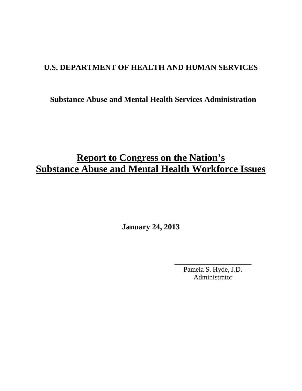# **U.S. DEPARTMENT OF HEALTH AND HUMAN SERVICES**

# **Substance Abuse and Mental Health Services Administration**

# **Report to Congress on the Nation's Substance Abuse and Mental Health Workforce Issues**

**January 24, 2013**

Pamela S. Hyde, J.D. Administrator

\_\_\_\_\_\_\_\_\_\_\_\_\_\_\_\_\_\_\_\_\_\_\_\_\_\_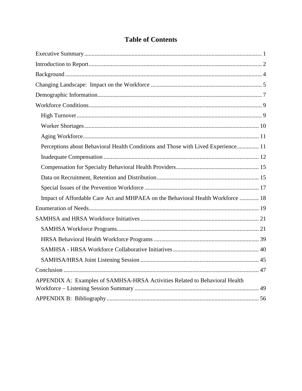# **Table of Contents**

| Perceptions about Behavioral Health Conditions and Those with Lived Experience 11 |  |
|-----------------------------------------------------------------------------------|--|
|                                                                                   |  |
|                                                                                   |  |
|                                                                                   |  |
|                                                                                   |  |
| Impact of Affordable Care Act and MHPAEA on the Behavioral Health Workforce  18   |  |
|                                                                                   |  |
|                                                                                   |  |
|                                                                                   |  |
|                                                                                   |  |
|                                                                                   |  |
|                                                                                   |  |
|                                                                                   |  |
| APPENDIX A: Examples of SAMHSA-HRSA Activities Related to Behavioral Health       |  |
|                                                                                   |  |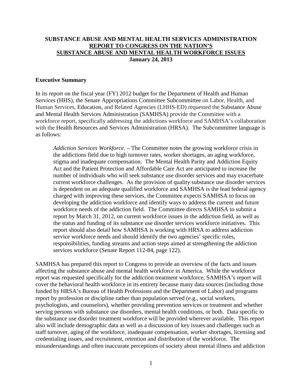#### **SUBSTANCE ABUSE AND MENTAL HEALTH SERVICES ADMINISTRATION REPORT TO CONGRESS ON THE NATION'S SUBSTANCE ABUSE AND MENTAL HEALTH WORKFORCE ISSUES January 24, 2013**

#### <span id="page-2-0"></span>**Executive Summary**

In its report on the fiscal year (FY) 2012 budget for the Department of Health and Human Services (HHS), the Senate Appropriations Committee Subcommittee on Labor, Health, and Human Services, Education, and Related Agencies (LHHS-ED) requested the Substance Abuse and Mental Health Services Administration (SAMHSA) provide the Committee with a workforce report, specifically addressing the addictions workforce and SAMHSA's collaboration with the Health Resources and Services Administration (HRSA). The Subcommittee language is as follows:

*Addiction Services Workforce.* – The Committee notes the growing workforce crisis in the addictions field due to high turnover rates, worker shortages, an aging workforce, stigma and inadequate compensation. The Mental Health Parity and Addiction Equity Act and the Patient Protection and Affordable Care Act are anticipated to increase the number of individuals who will seek substance use disorder services and may exacerbate current workforce challenges. As the provision of quality substance use disorder services is dependent on an adequate qualified workforce and SAMHSA is the lead federal agency charged with improving these services, the Committee expects SAMHSA to focus on developing the addiction workforce and identify ways to address the current and future workforce needs of the addiction field. The Committee directs SAMHSA to submit a report by March 31, 2012, on current workforce issues in the addiction field, as well as the status and funding of its substance use disorder services workforce initiatives. This report should also detail how SAMHSA is working with HRSA to address addiction service workforce needs and should identify the two agencies' specific roles, responsibilities, funding streams and action steps aimed at strengthening the addiction services workforce (Senate Report 112-84, page 122).

SAMHSA has prepared this report to Congress to provide an overview of the facts and issues affecting the substance abuse and mental health workforce in America. While the workforce report was requested specifically for the addiction treatment workforce, SAMHSA's report will cover the behavioral health workforce in its entirety because many data sources (including those funded by HRSA's Bureau of Health Professions and the Department of Labor) and programs report by profession or discipline rather than population served (e.g., social workers, psychologists, and counselors), whether providing prevention services or treatment and whether serving persons with substance use disorders, mental health conditions, or both. Data specific to the substance use disorder treatment workforce will be provided wherever available. This report also will include demographic data as well as a discussion of key issues and challenges such as staff turnover, aging of the workforce, inadequate compensation, worker shortages, licensing and credentialing issues, and recruitment, retention and distribution of the workforce. The misunderstandings and often inaccurate perceptions of society about mental illness and addiction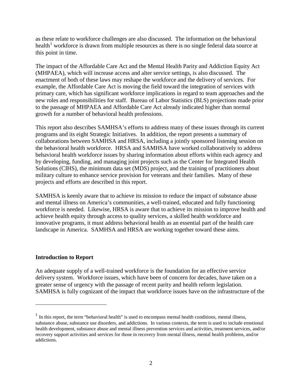as these relate to workforce challenges are also discussed. The information on the behavioral health<sup>[1](#page-3-1)</sup> workforce is drawn from multiple resources as there is no single federal data source at this point in time.

The impact of the Affordable Care Act and the Mental Health Parity and Addiction Equity Act (MHPAEA), which will increase access and alter service settings, is also discussed. The enactment of both of these laws may reshape the workforce and the delivery of services. For example, the Affordable Care Act is moving the field toward the integration of services with primary care, which has significant workforce implications in regard to team approaches and the new roles and responsibilities for staff. Bureau of Labor Statistics (BLS) projections made prior to the passage of MHPAEA and Affordable Care Act already indicated higher than normal growth for a number of behavioral health professions.

This report also describes SAMHSA's efforts to address many of these issues through its current programs and its eight Strategic Initiatives. In addition, the report presents a summary of collaborations between SAMHSA and HRSA, including a jointly sponsored listening session on the behavioral health workforce. HRSA and SAMHSA have worked collaboratively to address behavioral health workforce issues by sharing information about efforts within each agency and by developing, funding, and managing joint projects such as the Center for Integrated Health Solutions (CIHS), the minimum data set (MDS) project, and the training of practitioners about military culture to enhance service provision for veterans and their families. Many of these projects and efforts are described in this report.

SAMHSA is keenly aware that to achieve its mission to reduce the impact of substance abuse and mental illness on America's communities, a well-trained, educated and fully functioning workforce is needed. Likewise, HRSA is aware that to achieve its mission to improve health and achieve health equity through access to quality services, a skilled health workforce and innovative programs, it must address behavioral health as an essential part of the health care landscape in America. SAMHSA and HRSA are working together toward these aims.

#### <span id="page-3-0"></span>**Introduction to Report**

An adequate supply of a well-trained workforce is the foundation for an effective service delivery system. Workforce issues, which have been of concern for decades, have taken on a greater sense of urgency with the passage of recent parity and health reform legislation. SAMHSA is fully cognizant of the impact that workforce issues have on the infrastructure of the

<span id="page-3-1"></span> $<sup>1</sup>$  In this report, the term "behavioral health" is used to encompass mental health conditions, mental illness,</sup> substance abuse, substance use disorders, and addictions. In various contexts, the term is used to include emotional health development, substance abuse and mental illness prevention services and activities, treatment services, and/or recovery support activities and services for those in recovery from mental illness, mental health problems, and/or addictions.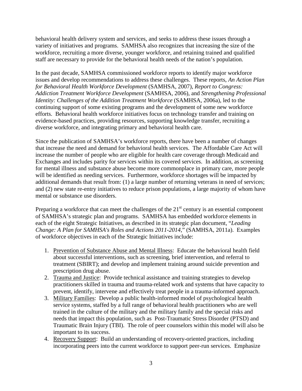behavioral health delivery system and services, and seeks to address these issues through a variety of initiatives and programs. SAMHSA also recognizes that increasing the size of the workforce, recruiting a more diverse, younger workforce, and retaining trained and qualified staff are necessary to provide for the behavioral health needs of the nation's population.

In the past decade, SAMHSA commissioned workforce reports to identify major workforce issues and develop recommendations to address these challenges. These reports, *An Action Plan for Behavioral Health Workforce Development* (SAMHSA, 2007), *Report to Congress: Addiction Treatment Workforce Development* (SAMHSA, 2006), and *Strengthening Professional Identity: Challenges of the Addition Treatment Workforce* (SAMHSA, 2006a), led to the continuing support of some existing programs and the development of some new workforce efforts. Behavioral health workforce initiatives focus on technology transfer and training on evidence-based practices, providing resources, supporting knowledge transfer, recruiting a diverse workforce, and integrating primary and behavioral health care.

Since the publication of SAMHSA's workforce reports, there have been a number of changes that increase the need and demand for behavioral health services. The Affordable Care Act will increase the number of people who are eligible for health care coverage through Medicaid and Exchanges and includes parity for services within its covered services. In addition, as screening for mental illness and substance abuse become more commonplace in primary care, more people will be identified as needing services. Furthermore, workforce shortages will be impacted by additional demands that result from: (1) a large number of returning veterans in need of services; and (2) new state re-entry initiatives to reduce prison populations, a large majority of whom have mental or substance use disorders.

Preparing a workforce that can meet the challenges of the  $21<sup>st</sup>$  century is an essential component of SAMHSA's strategic plan and programs. SAMHSA has embedded workforce elements in each of the eight Strategic Initiatives, as described in its strategic plan document, "*Leading Change: A Plan for SAMHSA's Roles and Actions 2011-2014*," (SAMHSA, 2011a). Examples of workforce objectives in each of the Strategic Initiatives include:

- 1. Prevention of Substance Abuse and Mental Illness: Educate the behavioral health field about successful interventions, such as screening, brief intervention, and referral to treatment (SBIRT); and develop and implement training around suicide prevention and prescription drug abuse.
- 2. Trauma and Justice: Provide technical assistance and training strategies to develop practitioners skilled in trauma and trauma-related work and systems that have capacity to prevent, identify, intervene and effectively treat people in a trauma-informed approach.
- 3. Military Families: Develop a public health-informed model of psychological health service systems, staffed by a full range of behavioral health practitioners who are well trained in the culture of the military and the military family and the special risks and needs that impact this population, such as Post-Traumatic Stress Disorder (PTSD) and Traumatic Brain Injury (TBI). The role of peer counselors within this model will also be important to its success.
- 4. Recovery Support: Build an understanding of recovery-oriented practices, including incorporating peers into the current workforce to support peer-run services. Emphasize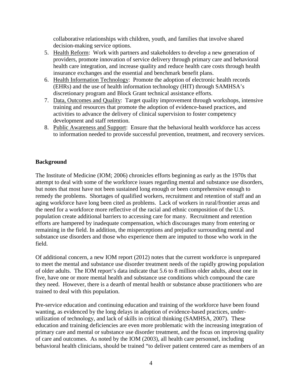collaborative relationships with children, youth, and families that involve shared decision-making service options.

- 5. Health Reform: Work with partners and stakeholders to develop a new generation of providers, promote innovation of service delivery through primary care and behavioral health care integration, and increase quality and reduce health care costs through health insurance exchanges and the essential and benchmark benefit plans.
- 6. Health Information Technology: Promote the adoption of electronic health records (EHRs) and the use of health information technology (HIT) through SAMHSA's discretionary program and Block Grant technical assistance efforts.
- 7. Data, Outcomes and Quality: Target quality improvement through workshops, intensive training and resources that promote the adoption of evidence-based practices, and activities to advance the delivery of clinical supervision to foster competency development and staff retention.
- 8. Public Awareness and Support: Ensure that the behavioral health workforce has access to information needed to provide successful prevention, treatment, and recovery services.

# <span id="page-5-0"></span>**Background**

The Institute of Medicine (IOM; 2006) chronicles efforts beginning as early as the 1970s that attempt to deal with some of the workforce issues regarding mental and substance use disorders, but notes that most have not been sustained long enough or been comprehensive enough to remedy the problems. Shortages of qualified workers, recruitment and retention of staff and an aging workforce have long been cited as problems. Lack of workers in rural/frontier areas and the need for a workforce more reflective of the racial and ethnic composition of the U.S. population create additional barriers to accessing care for many. Recruitment and retention efforts are hampered by inadequate compensation, which discourages many from entering or remaining in the field. In addition, the misperceptions and prejudice surrounding mental and substance use disorders and those who experience them are imputed to those who work in the field.

Of additional concern, a new IOM report (2012) notes that the current workforce is unprepared to meet the mental and substance use disorder treatment needs of the rapidly growing population of older adults. The IOM report's data indicate that 5.6 to 8 million older adults, about one in five, have one or more mental health and substance use conditions which compound the care they need. However, there is a dearth of mental health or substance abuse practitioners who are trained to deal with this population.

Pre-service education and continuing education and training of the workforce have been found wanting, as evidenced by the long delays in adoption of evidence-based practices, underutilization of technology, and lack of skills in critical thinking (SAMHSA, 2007). These education and training deficiencies are even more problematic with the increasing integration of primary care and mental or substance use disorder treatment, and the focus on improving quality of care and outcomes. As noted by the IOM (2003), all health care personnel, including behavioral health clinicians, should be trained "to deliver patient centered care as members of an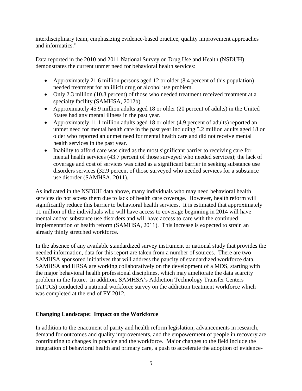interdisciplinary team, emphasizing evidence-based practice, quality improvement approaches and informatics."

Data reported in the 2010 and 2011 National Survey on Drug Use and Health (NSDUH) demonstrates the current unmet need for behavioral health services:

- Approximately 21.6 million persons aged 12 or older (8.4 percent of this population) needed treatment for an illicit drug or alcohol use problem.
- Only 2.3 million (10.8 percent) of those who needed treatment received treatment at a specialty facility (SAMHSA, 2012b).
- Approximately 45.9 million adults aged 18 or older (20 percent of adults) in the United States had any mental illness in the past year.
- Approximately 11.1 million adults aged 18 or older (4.9 percent of adults) reported an unmet need for mental health care in the past year including 5.2 million adults aged 18 or older who reported an unmet need for mental health care and did not receive mental health services in the past year.
- Inability to afford care was cited as the most significant barrier to receiving care for mental health services (43.7 percent of those surveyed who needed services); the lack of coverage and cost of services was cited as a significant barrier in seeking substance use disorders services (32.9 percent of those surveyed who needed services for a substance use disorder (SAMHSA, 2011).

As indicated in the NSDUH data above, many individuals who may need behavioral health services do not access them due to lack of health care coverage. However, health reform will significantly reduce this barrier to behavioral health services. It is estimated that approximately 11 million of the individuals who will have access to coverage beginning in 2014 will have mental and/or substance use disorders and will have access to care with the continued implementation of health reform (SAMHSA, 2011). This increase is expected to strain an already thinly stretched workforce.

In the absence of any available standardized survey instrument or national study that provides the needed information, data for this report are taken from a number of sources. There are two SAMHSA sponsored initiatives that will address the paucity of standardized workforce data. SAMHSA and HRSA are working collaboratively on the development of a MDS, starting with the major behavioral health professional disciplines, which may ameliorate the data scarcity problem in the future. In addition, SAMHSA's Addiction Technology Transfer Centers (ATTCs) conducted a national workforce survey on the addiction treatment workforce which was completed at the end of FY 2012.

# <span id="page-6-0"></span>**Changing Landscape: Impact on the Workforce**

In addition to the enactment of parity and health reform legislation, advancements in research, demand for outcomes and quality improvements, and the empowerment of people in recovery are contributing to changes in practice and the workforce. Major changes to the field include the integration of behavioral health and primary care, a push to accelerate the adoption of evidence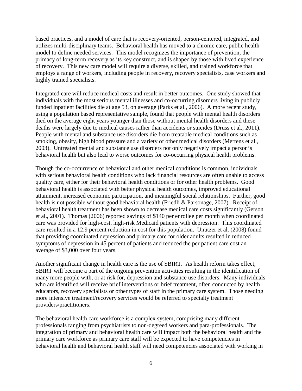based practices, and a model of care that is recovery-oriented, person-centered, integrated, and utilizes multi-disciplinary teams. Behavioral health has moved to a chronic care, public health model to define needed services. This model recognizes the importance of prevention, the primacy of long-term recovery as its key construct, and is shaped by those with lived experience of recovery. This new care model will require a diverse, skilled, and trained workforce that employs a range of workers, including people in recovery, recovery specialists, case workers and highly trained specialists.

Integrated care will reduce medical costs and result in better outcomes. One study showed that individuals with the most serious mental illnesses and co-occurring disorders living in publicly funded inpatient facilities die at age 53, on average (Parks et al., 2006). A more recent study, using a population based representative sample, found that people with mental health disorders died on the average eight years younger than those without mental health disorders and these deaths were largely due to medical causes rather than accidents or suicides (Druss et al., 2011). People with mental and substance use disorders die from treatable medical conditions such as smoking, obesity, high blood pressure and a variety of other medical disorders (Mertens et al., 2003). Untreated mental and substance use disorders not only negatively impact a person's behavioral health but also lead to worse outcomes for co-occurring physical health problems.

Though the co-occurrence of behavioral and other medical conditions is common, individuals with serious behavioral health conditions who lack financial resources are often unable to access quality care, either for their behavioral health conditions or for other health problems. Good behavioral health is associated with better physical health outcomes, improved educational attainment, increased economic participation, and meaningful social relationships. Further, good health is not possible without good behavioral health (Friedli & Parsonage, 2007). Receipt of behavioral health treatment has been shown to decrease medical care costs significantly (Gerson et al., 2001). Thomas (2006) reported savings of \$140 per enrollee per month when coordinated care was provided for high-cost, high-risk Medicaid patients with depression. This coordinated care resulted in a 12.9 percent reduction in cost for this population. Unützer et al. (2008) found that providing coordinated depression and primary care for older adults resulted in reduced symptoms of depression in 45 percent of patients and reduced the per patient care cost an average of \$3,000 over four years.

Another significant change in health care is the use of SBIRT. As health reform takes effect, SBIRT will become a part of the ongoing prevention activities resulting in the identification of many more people with, or at risk for, depression and substance use disorders. Many individuals who are identified will receive brief interventions or brief treatment, often conducted by health educators, recovery specialists or other types of staff in the primary care system. Those needing more intensive treatment/recovery services would be referred to specialty treatment providers/practitioners.

The behavioral health care workforce is a complex system, comprising many different professionals ranging from psychiatrists to non-degreed workers and para-professionals. The integration of primary and behavioral health care will impact both the behavioral health and the primary care workforce as primary care staff will be expected to have competencies in behavioral health and behavioral health staff will need competencies associated with working in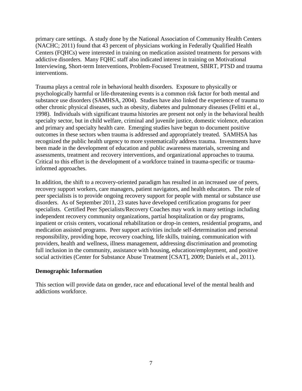primary care settings. A study done by the National Association of Community Health Centers (NACHC; 2011) found that 43 percent of physicians working in Federally Qualified Health Centers (FQHCs) were interested in training on medication assisted treatments for persons with addictive disorders. Many FQHC staff also indicated interest in training on Motivational Interviewing, Short-term Interventions, Problem-Focused Treatment, SBIRT, PTSD and trauma interventions.

Trauma plays a central role in behavioral health disorders. Exposure to physically or psychologically harmful or life-threatening events is a common risk factor for both mental and substance use disorders (SAMHSA, 2004). Studies have also linked the experience of trauma to other chronic physical diseases, such as obesity, diabetes and pulmonary diseases (Felitti et al., 1998). Individuals with significant trauma histories are present not only in the behavioral health specialty sector, but in child welfare, criminal and juvenile justice, domestic violence, education and primary and specialty health care. Emerging studies have begun to document positive outcomes in these sectors when trauma is addressed and appropriately treated. SAMHSA has recognized the public health urgency to more systematically address trauma. Investments have been made in the development of education and public awareness materials, screening and assessments, treatment and recovery interventions, and organizational approaches to trauma. Critical to this effort is the development of a workforce trained in trauma-specific or traumainformed approaches.

In addition, the shift to a recovery-oriented paradigm has resulted in an increased use of peers, recovery support workers, care managers, patient navigators, and health educators. The role of peer specialists is to provide ongoing recovery support for people with mental or substance use disorders. As of September 2011, 23 states have developed certification programs for peer specialists. Certified Peer Specialists/Recovery Coaches may work in many settings including independent recovery community organizations, partial hospitalization or day programs, inpatient or crisis centers, vocational rehabilitation or drop-in centers, residential programs, and medication assisted programs. Peer support activities include self-determination and personal responsibility, providing hope, recovery coaching, life skills, training, communication with providers, health and wellness, illness management, addressing discrimination and promoting full inclusion in the community, assistance with housing, education/employment, and positive social activities (Center for Substance Abuse Treatment [CSAT], 2009; Daniels et al., 2011).

#### <span id="page-8-0"></span>**Demographic Information**

This section will provide data on gender, race and educational level of the mental health and addictions workforce.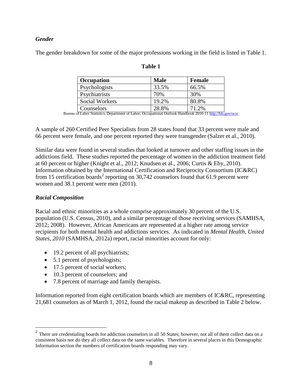#### *Gender*

The gender breakdown for some of the major professions working in the field is listed in Table 1.

| <b>Occupation</b>     | <b>Male</b> | <b>Female</b> |
|-----------------------|-------------|---------------|
| Psychologists         | 33.5%       | 66.5%         |
| Psychiatrists         | 70%         | 30%           |
| <b>Social Workers</b> | 19.2%       | 80.8%         |
| Counselors            | 28.8%       | 71.2%         |

| anıo |  |
|------|--|
|------|--|

| Counselors | 28.8% | 71.2%<br>Bureau of Labor Statistics, Department of Labor, Occupational Outlook Handbook 2010-11<http://bls.gov/oco/>

A sample of 260 Certified Peer Specialists from 28 states found that 33 percent were male and 66 percent were female, and one percent reported they were transgender (Salzer et al., 2010).

Similar data were found in several studies that looked at turnover and other staffing issues in the addictions field. These studies reported the percentage of women in the addiction treatment field at 60 percent or higher (Knight et al., 2012; Knudsen et al., 2006; Curtis & Eby, 2010). Information obtained by the International Certification and Reciprocity Consortium (IC&RC) from 15 certification boards<sup>[2](#page-9-0)</sup> reporting on 30,742 counselors found that 61.9 percent were women and 38.1 percent were men (2011).

#### *Racial Composition*

Racial and ethnic minorities as a whole comprise approximately 30 percent of the U.S. population (U.S. Census, 2010), and a similar percentage of those receiving services (SAMHSA, 2012; 2008). However, African Americans are represented at a higher rate among service recipients for both mental health and addictions services. As indicated in *Mental Health, United States, 2010* (SAMHSA, 2012a) report, racial minorities account for only:

- 19.2 percent of all psychiatrists;
- 5.1 percent of psychologists;
- 17.5 percent of social workers;
- 10.3 percent of counselors; and
- 7.8 percent of marriage and family therapists.

Information reported from eight certification boards which are members of IC&RC, representing 21,681 counselors as of March 1, 2012, found the racial makeup as described in Table 2 below.

<span id="page-9-0"></span> $2$  There are credentialing boards for addiction counselors in all 50 States; however, not all of them collect data on a consistent basis nor do they all collect data on the same variables. Therefore in several places in this Demographic Information section the numbers of certification boards responding may vary.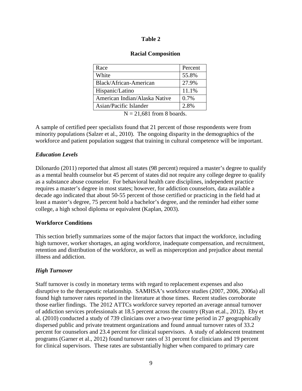#### **Table 2**

#### **Racial Composition**

| Race                                           | Percent |
|------------------------------------------------|---------|
| White                                          | 55.8%   |
| Black/African-American                         | 27.9%   |
| Hispanic/Latino                                | 11.1%   |
| American Indian/Alaska Native                  | 0.7%    |
| Asian/Pacific Islander                         | 2.8%    |
| $\mathbf{r}$ as $\mathbf{r}$<br>$\sim$ $\cdot$ |         |

 $N = 21,681$  from 8 boards.

A sample of certified peer specialists found that 21 percent of those respondents were from minority populations (Salzer et al., 2010). The ongoing disparity in the demographics of the workforce and patient population suggest that training in cultural competence will be important.

#### *Education Levels*

Dilonardo (2011) reported that almost all states (98 percent) required a master's degree to qualify as a mental health counselor but 45 percent of states did not require any college degree to qualify as a substance abuse counselor. For behavioral health care disciplines, independent practice requires a master's degree in most states; however, for addiction counselors, data available a decade ago indicated that about 50-55 percent of those certified or practicing in the field had at least a master's degree, 75 percent hold a bachelor's degree, and the reminder had either some college, a high school diploma or equivalent (Kaplan, 2003).

#### <span id="page-10-0"></span>**Workforce Conditions**

This section briefly summarizes some of the major factors that impact the workforce, including high turnover, worker shortages, an aging workforce, inadequate compensation, and recruitment, retention and distribution of the workforce, as well as misperception and prejudice about mental illness and addiction.

# <span id="page-10-1"></span>*High Turnover*

Staff turnover is costly in monetary terms with regard to replacement expenses and also disruptive to the therapeutic relationship. SAMHSA's workforce studies (2007, 2006, 2006a) all found high turnover rates reported in the literature at those times. Recent studies corroborate those earlier findings. The 2012 ATTCs workforce survey reported an average annual turnover of addiction services professionals at 18.5 percent across the country (Ryan et.al., 2012). Eby et al. (2010) conducted a study of 739 clinicians over a two-year time period in 27 geographically dispersed public and private treatment organizations and found annual turnover rates of 33.2 percent for counselors and 23.4 percent for clinical supervisors. A study of adolescent treatment programs (Garner et al., 2012) found turnover rates of 31 percent for clinicians and 19 percent for clinical supervisors. These rates are substantially higher when compared to primary care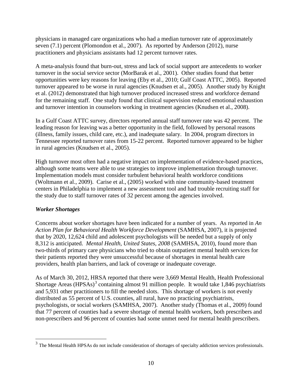physicians in managed care organizations who had a median turnover rate of approximately seven (7.1) percent (Plomondon et al., 2007). As reported by Anderson (2012), nurse practitioners and physicians assistants had 12 percent turnover rates.

A meta-analysis found that burn-out, stress and lack of social support are antecedents to worker turnover in the social service sector (MorBarak et al., 2001). Other studies found that better opportunities were key reasons for leaving (Eby et al., 2010; Gulf Coast ATTC, 2005). Reported turnover appeared to be worse in rural agencies (Knudsen et al., 2005). Another study by Knight et al. (2012) demonstrated that high turnover produced increased stress and workforce demand for the remaining staff. One study found that clinical supervision reduced emotional exhaustion and turnover intention in counselors working in treatment agencies (Knudsen et al., 2008).

In a Gulf Coast ATTC survey, directors reported annual staff turnover rate was 42 percent. The leading reason for leaving was a better opportunity in the field, followed by personal reasons (illness, family issues, child care, etc.), and inadequate salary. In 2004, program directors in Tennessee reported turnover rates from 15-22 percent. Reported turnover appeared to be higher in rural agencies (Knudsen et al., 2005).

High turnover most often had a negative impact on implementation of evidence-based practices, although some teams were able to use strategies to improve implementation through turnover. Implementation models must consider turbulent behavioral health workforce conditions (Woltmann et al., 2009). Carise et al., (2005) worked with nine community-based treatment centers in Philadelphia to implement a new assessment tool and had trouble recruiting staff for the study due to staff turnover rates of 32 percent among the agencies involved.

# <span id="page-11-0"></span>*Worker Shortages*

Concerns about worker shortages have been indicated for a number of years. As reported in *An Action Plan for Behavioral Health Workforce Development* (SAMHSA, 2007), it is projected that by 2020, 12,624 child and adolescent psychologists will be needed but a supply of only 8,312 is anticipated. *Mental Health, United States, 2008* (SAMHSA, 2010)*,* found more than two-thirds of primary care physicians who tried to obtain outpatient mental health services for their patients reported they were unsuccessful because of shortages in mental health care providers, health plan barriers, and lack of coverage or inadequate coverage.

As of March 30, 2012, HRSA reported that there were 3,669 Mental Health, Health Professional Shortage Areas  $(HPSAs)^3$  $(HPSAs)^3$  containing almost 91 million people. It would take 1,846 psychiatrists and 5,931 other practitioners to fill the needed slots. This shortage of workers is not evenly distributed as 55 percent of U.S. counties, all rural, have no practicing psychiatrists, psychologists, or social workers (SAMHSA, 2007). Another study (Thomas et al., 2009) found that 77 percent of counties had a severe shortage of mental health workers, both prescribers and non-prescribers and 96 percent of counties had some unmet need for mental health prescribers.

<span id="page-11-1"></span><sup>&</sup>lt;sup>3</sup> The Mental Health HPSAs do not include consideration of shortages of specialty addiction services professionals.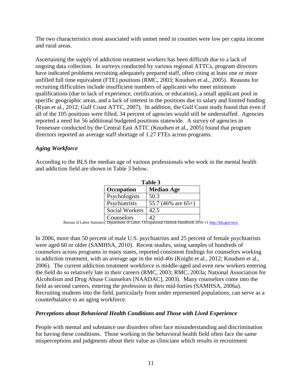The two characteristics most associated with unmet need in counties were low per capita income and rural areas.

Ascertaining the supply of addiction treatment workers has been difficult due to a lack of ongoing data collection. In surveys conducted by various regional ATTCs, program directors have indicated problems recruiting adequately prepared staff, often citing at least one or more unfilled full time equivalent (FTE) positions (RMC, 2003; Knudsen et al., 2005). Reasons for recruiting difficulties include insufficient numbers of applicants who meet minimum qualifications (due to lack of experience, certification, or education), a small applicant pool in specific geographic areas, and a lack of interest in the positions due to salary and limited funding (Ryan et al., 2012; Gulf Coast ATTC, 2007). In addition, the Gulf Coast study found that even if all of the 105 positions were filled, 34 percent of agencies would still be understaffed. Agencies reported a need for 56 additional budgeted positions statewide. A survey of agencies in Tennessee conducted by the Central East ATTC (Knudsen et al., 2005) found that program directors reported an average staff shortage of 1.27 FTEs across programs.

# <span id="page-12-0"></span>*Aging Workforce*

According to the BLS the median age of various professionals who work in the mental health and addiction field are shown in Table 3 below.

| Table 3        |                       |  |
|----------------|-----------------------|--|
| Occupation     | <b>Median Age</b>     |  |
| Psychologists  | 50.3                  |  |
| Psychiatrists  | 55.7 (46% are $65+$ ) |  |
| Social Workers | 42.5                  |  |
| Counselors     |                       |  |

Counselors 42 Bureau of Labor Statistics, Department of Labor, Occupational Outlook Handbook 2010-11<http://bls.gov/oco/>

In 2006, more than 50 percent of male U.S. psychiatrists and 25 percent of female psychiatrists were aged 60 or older (SAMHSA, 2010). Recent studies, using samples of hundreds of counselors across programs in many states, reported consistent findings for counselors working in addiction treatment, with an average age in the mid-40s (Knight et al., 2012; Knudsen et al., 2006). The current addiction treatment workforce is middle-aged and even new workers entering the field do so relatively late in their careers (RMC, 2003; RMC, 2003a; National Association for Alcoholism and Drug Abuse Counselors [NAADAC], 2003). Many counselors come into the field as second careers, entering the profession in their mid-forties (SAMHSA, 2006a). Recruiting students into the field, particularly from under represented populations, can serve as a counterbalance to an aging workforce.

#### <span id="page-12-1"></span>*Perceptions about Behavioral Health Conditions and Those with Lived Experience*

People with mental and substance use disorders often face misunderstanding and discrimination for having these conditions. Those working in the behavioral health field often face the same misperceptions and judgments about their value as clinicians which results in recruitment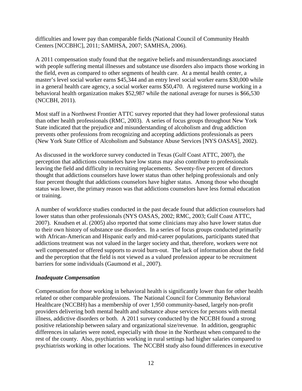difficulties and lower pay than comparable fields (National Council of Community Health Centers [NCCBHC], 2011; SAMHSA, 2007; SAMHSA, 2006).

A 2011 compensation study found that the negative beliefs and misunderstandings associated with people suffering mental illnesses and substance use disorders also impacts those working in the field, even as compared to other segments of health care. At a mental health center, a master's level social worker earns \$45,344 and an entry level social worker earns \$30,000 while in a general health care agency, a social worker earns \$50,470. A registered nurse working in a behavioral health organization makes \$52,987 while the national average for nurses is \$66,530 (NCCBH, 2011).

Most staff in a Northwest Frontier ATTC survey reported that they had lower professional status than other health professionals (RMC, 2003). A series of focus groups throughout New York State indicated that the prejudice and misunderstanding of alcoholism and drug addiction prevents other professions from recognizing and accepting addictions professionals as peers (New York State Office of Alcoholism and Substance Abuse Services [NYS OASAS], 2002).

As discussed in the workforce survey conducted in Texas (Gulf Coast ATTC, 2007), the perception that addictions counselors have low status may also contribute to professionals leaving the field and difficulty in recruiting replacements. Seventy-five percent of directors thought that addictions counselors have lower status than other helping professionals and only four percent thought that addictions counselors have higher status. Among those who thought status was lower, the primary reason was that addictions counselors have less formal education or training.

A number of workforce studies conducted in the past decade found that addiction counselors had lower status than other professionals (NYS OASAS, 2002; RMC, 2003; Gulf Coast ATTC, 2007). Knudsen et al. (2005) also reported that some clinicians may also have lower status due to their own history of substance use disorders. In a series of focus groups conducted primarily with African-American and Hispanic early and mid-career populations, participants stated that addictions treatment was not valued in the larger society and that, therefore, workers were not well compensated or offered supports to avoid burn-out. The lack of information about the field and the perception that the field is not viewed as a valued profession appear to be recruitment barriers for some individuals (Gaumond et al., 2007).

# <span id="page-13-0"></span>*Inadequate Compensation*

Compensation for those working in behavioral health is significantly lower than for other health related or other comparable professions. The National Council for Community Behavioral Healthcare (NCCBH) has a membership of over 1,950 community-based, largely non-profit providers delivering both mental health and substance abuse services for persons with mental illness, addictive disorders or both. A 2011 survey conducted by the NCCBH found a strong positive relationship between salary and organizational size/revenue. In addition, geographic differences in salaries were noted, especially with those in the Northeast when compared to the rest of the county. Also, psychiatrists working in rural settings had higher salaries compared to psychiatrists working in other locations. The NCCBH study also found differences in executive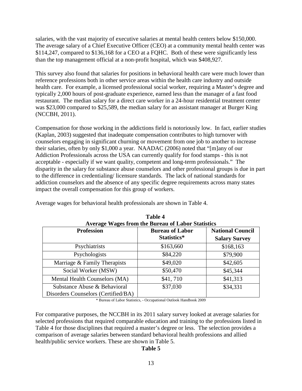salaries, with the vast majority of executive salaries at mental health centers below \$150,000. The average salary of a Chief Executive Officer (CEO) at a community mental health center was \$114,247, compared to \$136,168 for a CEO at a FQHC. Both of these were significantly less than the top management official at a non‐profit hospital, which was \$408,927.

This survey also found that salaries for positions in behavioral health care were much lower than reference professions both in other service areas within the health care industry and outside health care. For example, a licensed professional social worker, requiring a Master's degree and typically 2,000 hours of post-graduate experience, earned less than the manager of a fast food restaurant. The median salary for a direct care worker in a 24-hour residential treatment center was \$23,000 compared to \$25,589, the median salary for an assistant manager at Burger King (NCCBH, 2011).

Compensation for those working in the addictions field is notoriously low. In fact, earlier studies (Kaplan, 2003) suggested that inadequate compensation contributes to high turnover with counselors engaging in significant churning or movement from one job to another to increase their salaries, often by only \$1,000 a year. NAADAC (2006) noted that "[m]any of our Addiction Professionals across the USA can currently qualify for food stamps - this is not acceptable - especially if we want quality, competent and long-term professionals." The disparity in the salary for substance abuse counselors and other professional groups is due in part to the difference in credentialing/ licensure standards. The lack of national standards for addiction counselors and the absence of any specific degree requirements across many states impact the overall compensation for this group of workers.

| <b>Average Wages from the Bureau of Labor Statistics</b> |                        |                         |
|----------------------------------------------------------|------------------------|-------------------------|
| <b>Profession</b>                                        | <b>Bureau of Labor</b> | <b>National Council</b> |
|                                                          | Statistics*            | <b>Salary Survey</b>    |
| Psychiatrists                                            | \$163,660              | \$168,163               |
| Psychologists                                            | \$84,220               | \$79,900                |
| Marriage & Family Therapists                             | \$49,020               | \$42,605                |
| Social Worker (MSW)                                      | \$50,470               | \$45,344                |
| Mental Health Counselors (MA)                            | \$41,710               | \$41,313                |
| Substance Abuse & Behavioral                             | \$37,030               | \$34,331                |
| Disorders Counselors (Certified/BA)                      |                        |                         |

Average wages for behavioral health professionals are shown in Table 4.

**Table 4**

\* Bureau of Labor Statistics, - Occupational Outlook Handbook 2009

For comparative purposes, the NCCBH in its 2011 salary survey looked at average salaries for selected professions that required comparable education and training to the professions listed in Table 4 for those disciplines that required a master's degree or less. The selection provides a comparison of average salaries between standard behavioral health professions and allied health/public service workers. These are shown in Table 5.

#### **Table 5**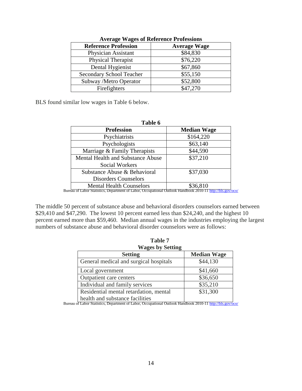| <b>Reference Profession</b>     | <b>Average Wage</b> |
|---------------------------------|---------------------|
| Physician Assistant             | \$84,830            |
| Physical Therapist              | \$76,220            |
| Dental Hygienist                | \$67,860            |
| <b>Secondary School Teacher</b> | \$55,150            |
| Subway /Metro Operator          | \$52,800            |
| Firefighters                    | \$47,270            |

#### **Average Wages of Reference Professions**

BLS found similar low wages in Table 6 below.

| Table 6                           |                    |
|-----------------------------------|--------------------|
| <b>Profession</b>                 | <b>Median Wage</b> |
| Psychiatrists                     | \$164,220          |
| Psychologists                     | \$63,140           |
| Marriage & Family Therapists      | \$44,590           |
| Mental Health and Substance Abuse | \$37,210           |
| Social Workers                    |                    |
| Substance Abuse & Behavioral      | \$37,030           |
| <b>Disorders Counselors</b>       |                    |
| <b>Mental Health Counselors</b>   | \$36,810           |

The middle 50 percent of substance abuse and behavioral disorders counselors earned between \$29,410 and \$47,290. The lowest 10 percent earned less than \$24,240, and the highest 10 percent earned more than \$59,460. Median annual wages in the industries employing the largest numbers of substance abuse and behavioral disorder counselors were as follows:

| <b>Median Wage</b>                                                                     |
|----------------------------------------------------------------------------------------|
|                                                                                        |
| \$44,130                                                                               |
| \$41,660                                                                               |
| \$36,650                                                                               |
| \$35,210                                                                               |
| \$31,300                                                                               |
|                                                                                        |
| Bureau of Labor Statistics, Department of Labor, Occupational Outlook Handbook 2010-11 |

**Table 7**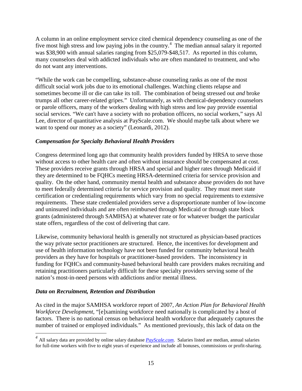A column in an online employment service cited chemical dependency counseling as one of the five most high stress and low paying jobs in the country.<sup>[4](#page-16-2)</sup> The median annual salary it reported was \$38,900 with annual salaries ranging from \$25,079-\$48,517. As reported in this column, many counselors deal with addicted individuals who are often mandated to treatment, and who do not want any interventions.

"While the work can be compelling, substance-abuse counseling ranks as one of the most difficult social work jobs due to its emotional challenges. Watching clients relapse and sometimes become ill or die can take its toll. The combination of being stressed out *and* broke trumps all other career-related gripes." Unfortunately, as with chemical-dependency counselors or parole officers, many of the workers dealing with high stress and low pay provide essential social services. "We can't have a society with no probation officers, no social workers," says Al Lee, director of quantitative analysis at PayScale.com. We should maybe talk about where we want to spend our money as a society" (Leonardi, 2012).

# <span id="page-16-0"></span>*Compensation for Specialty Behavioral Health Providers*

Congress determined long ago that community health providers funded by HRSA to serve those without access to other health care and often without insurance should be compensated at cost. These providers receive grants through HRSA and special and higher rates through Medicaid if they are determined to be FQHCs meeting HRSA-determined criteria for service provision and quality. On the other hand, community mental health and substance abuse providers do not have to meet federally determined criteria for service provision and quality. They must meet state certification or credentialing requirements which vary from no special requirements to extensive requirements. These state credentialed providers serve a disproportionate number of low-income and uninsured individuals and are often reimbursed through Medicaid or through state block grants (administered through SAMHSA) at whatever rate or for whatever budget the particular state offers, regardless of the cost of delivering that care.

Likewise, community behavioral health is generally not structured as physician-based practices the way private sector practitioners are structured. Hence, the incentives for development and use of health information technology have not been funded for community behavioral health providers as they have for hospitals or practitioner-based providers. The inconsistency in funding for FQHCs and community-based behavioral health care providers makes recruiting and retaining practitioners particularly difficult for these specialty providers serving some of the nation's most-in-need persons with addictions and/or mental illness.

# <span id="page-16-1"></span>*Data on Recruitment, Retention and Distribution*

As cited in the major SAMHSA workforce report of 2007, *An Action Plan for Behavioral Health Workforce Development,* "[e]xamining workforce need nationally is complicated by a host of factors. There is no national census on behavioral health workforce that adequately captures the number of trained or employed individuals." As mentioned previously, this lack of data on the

<span id="page-16-2"></span>*<sup>4</sup>* All salary data are provided by online salary database *[PayScale.com](http://www.payscale.com/)*. Salaries listed are median, annual salaries for full-time workers with five to eight years of experience and include all bonuses, commissions or profit-sharing.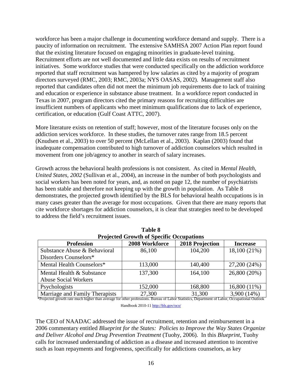workforce has been a major challenge in documenting workforce demand and supply. There is a paucity of information on recruitment. The extensive SAMHSA 2007 Action Plan report found that the existing literature focused on engaging minorities in graduate-level training. Recruitment efforts are not well documented and little data exists on results of recruitment initiatives. Some workforce studies that were conducted specifically on the addiction workforce reported that staff recruitment was hampered by low salaries as cited by a majority of program directors surveyed (RMC, 2003; RMC, 2003a; NYS OASAS, 2002). Management staff also reported that candidates often did not meet the minimum job requirements due to lack of training and education or experience in substance abuse treatment. In a workforce report conducted in Texas in 2007, program directors cited the primary reasons for recruiting difficulties are insufficient numbers of applicants who meet minimum qualifications due to lack of experience, certification, or education (Gulf Coast ATTC, 2007).

More literature exists on retention of staff; however, most of the literature focuses only on the addiction services workforce. In these studies, the turnover rates range from 18.5 percent (Knudsen et al., 2003) to over 50 percent (McLellan et al., 2003). Kaplan (2003) found that inadequate compensation contributed to high turnover of addiction counselors which resulted in movement from one job/agency to another in search of salary increases.

Growth across the behavioral health professions is not consistent. As cited in *Mental Health, United States, 2002* (Sullivan et al., 2004), an increase in the number of both psychologists and social workers has been noted for years, and, as noted on page 12, the number of psychiatrists has been stable and therefore not keeping up with the growth in population. As Table 8 demonstrates, the projected growth identified by the BLS for behavioral health occupations is in many cases greater than the average for most occupations. Given that there are many reports that cite workforce shortages for addiction counselors, it is clear that strategies need to be developed to address the field's recruitment issues.

| Projected Growth of Specific Occupations                                                                                                     |                |                 |                 |
|----------------------------------------------------------------------------------------------------------------------------------------------|----------------|-----------------|-----------------|
| <b>Profession</b>                                                                                                                            | 2008 Workforce | 2018 Projection | <b>Increase</b> |
| Substance Abuse & Behavioral                                                                                                                 | 86,100         | 104,200         | 18,100 (21%)    |
| Disorders Counselors*                                                                                                                        |                |                 |                 |
| Mental Health Counselors*                                                                                                                    | 113,000        | 140,400         | 27,200 (24%)    |
| Mental Health & Substance                                                                                                                    | 137,300        | 164,100         | 26,800 (20%)    |
| <b>Abuse Social Workers</b>                                                                                                                  |                |                 |                 |
| Psychologists                                                                                                                                | 152,000        | 168,800         | 16,800 (11%)    |
| Marriage and Family Therapists                                                                                                               | 27,300         | 31,300          | 3,900 (14%)     |
| *Projected growth rate much higher than average for other professions. Bureau of Labor Statistics, Department of Labor, Occupational Outlook |                |                 |                 |

| <b>Table 8</b>                                  |              |  |
|-------------------------------------------------|--------------|--|
| <b>Projected Growth of Specific Occupations</b> |              |  |
| AAAA TTI LA                                     | $\mathbf{A}$ |  |

Handbook 2010-11<http://bls.gov/oco/>

The CEO of NAADAC addressed the issue of recruitment, retention and reimbursement in a 2006 commentary entitled *Blueprint for the States: Policies to Improve the Way States Organize and Deliver Alcohol and Drug Prevention Treatment* (Tuohy, 2006). In this *Blueprint*, Tuohy calls for increased understanding of addiction as a disease and increased attention to incentive such as loan repayments and forgiveness, specifically for addictions counselors, as key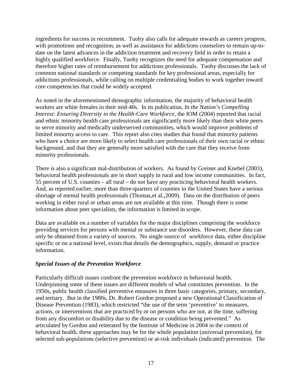ingredients for success in recruitment. Tuohy also calls for adequate rewards as careers progress, with promotions and recognition, as well as assistance for addictions counselors to remain up-todate on the latest advances in the addiction treatment and recovery field in order to retain a highly qualified workforce. Finally, Tuohy recognizes the need for adequate compensation and therefore higher rates of reimbursement for addictions professionals. Tuohy discusses the lack of common national standards or competing standards for key professional areas, especially for addictions professionals, while calling on multiple credentialing bodies to work together toward core competencies that could be widely accepted.

As noted in the aforementioned demographic information, the majority of behavioral health workers are white females in their mid-40s. In its publication, *In the Nation's Compelling Interest: Ensuring Diversity in the Health-Care Workforce,* the IOM (2004) reported that racial and ethnic minority health care professionals are significantly more likely than their white peers to serve minority and medically underserved communities, which would improve problems of limited minority access to care. This report also cites studies that found that minority patients who have a choice are more likely to select health care professionals of their own racial or ethnic background, and that they are generally more satisfied with the care that they receive from minority professionals.

There is also a significant mal-distribution of workers. As found by Greiner and Knebel (2003), behavioral health professionals are in short supply in rural and low income communities. In fact, 55 percent of U.S. counties – all rural – do not have any practicing behavioral health workers. And, as reported earlier, more than three-quarters of counties in the United States have a serious shortage of mental health professionals (Thomas,et al.,2009). Data on the distribution of peers working in either rural or urban areas are not available at this time. Though there is some information about peer specialists, the information is limited in scope.

Data are available on a number of variables for the major disciplines comprising the workforce providing services for persons with mental or substance use disorders. However, these data can only be obtained from a variety of sources. No single source of workforce data, either discipline specific or on a national level, exists that details the demographics, supply, demand or practice information.

# <span id="page-18-0"></span>*Special Issues of the Prevention Workforce*

Particularly difficult issues confront the prevention workforce in behavioral health. Underpinning some of these issues are different models of what constitutes prevention. In the 1950s, public health classified preventive measures in three basic categories, primary, secondary, and tertiary. But in the 1980s, Dr. Robert Gordon proposed a new Operational Classification of Disease Prevention (1983), which restricted "the use of the term 'preventive' to measures, actions, or interventions that are practiced by or on persons who are not, at the time, suffering from any discomfort or disability due to the disease or condition being prevented." As articulated by Gordon and reiterated by the Institute of Medicine in 2004 in the context of behavioral health, these approaches may be for the whole population (universal prevention), for selected sub-populations (selective prevention) or at-risk individuals (indicated) prevention. The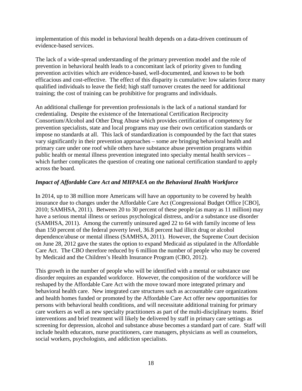implementation of this model in behavioral health depends on a data-driven continuum of evidence-based services.

The lack of a wide-spread understanding of the primary prevention model and the role of prevention in behavioral health leads to a concomitant lack of priority given to funding prevention activities which are evidence-based, well-documented, and known to be both efficacious and cost-effective. The effect of this disparity is cumulative: low salaries force many qualified individuals to leave the field; high staff turnover creates the need for additional training; the cost of training can be prohibitive for programs and individuals.

An additional challenge for prevention professionals is the lack of a national standard for credentialing. Despite the existence of the International Certification Reciprocity Consortium/Alcohol and Other Drug Abuse which provides certification of competency for prevention specialists, state and local programs may use their own certification standards or impose no standards at all. This lack of standardization is compounded by the fact that states vary significantly in their prevention approaches – some are bringing behavioral health and primary care under one roof while others have substance abuse prevention programs within public health or mental illness prevention integrated into specialty mental health services – which further complicates the question of creating one national certification standard to apply across the board.

#### <span id="page-19-0"></span>*Impact of Affordable Care Act and MHPAEA on the Behavioral Health Workforce*

In 2014, up to 38 million more Americans will have an opportunity to be covered by health insurance due to changes under the Affordable Care Act (Congressional Budget Office [CBO], 2010; SAMHSA, 2011). Between 20 to 30 percent of these people (as many as 11 million) may have a serious mental illness or serious psychological distress, and/or a substance use disorder (SAMHSA, 2011). Among the currently uninsured aged 22 to 64 with family income of less than 150 percent of the federal poverty level, 36.8 percent had illicit drug or alcohol dependence/abuse or mental illness (SAMHSA, 2011). However, the Supreme Court decision on June 28, 2012 gave the states the option to expand Medicaid as stipulated in the Affordable Care Act. The CBO therefore reduced by 6 million the number of people who may be covered by Medicaid and the Children's Health Insurance Program (CBO, 2012).

This growth in the number of people who will be identified with a mental or substance use disorder requires an expanded workforce. However, the composition of the workforce will be reshaped by the Affordable Care Act with the move toward more integrated primary and behavioral health care. New integrated care structures such as accountable care organizations and health homes funded or promoted by the Affordable Care Act offer new opportunities for persons with behavioral health conditions, and will necessitate additional training for primary care workers as well as new specialty practitioners as part of the multi-disciplinary teams. Brief interventions and brief treatment will likely be delivered by staff in primary care settings as screening for depression, alcohol and substance abuse becomes a standard part of care. Staff will include health educators, nurse practitioners, care managers, physicians as well as counselors, social workers, psychologists, and addiction specialists.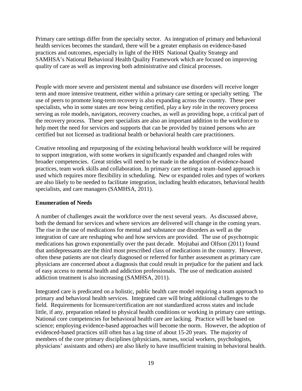Primary care settings differ from the specialty sector. As integration of primary and behavioral health services becomes the standard, there will be a greater emphasis on evidence-based practices and outcomes, especially in light of the HHS National Quality Strategy and SAMHSA's National Behavioral Health Quality Framework which are focused on improving quality of care as well as improving both administrative and clinical processes.

People with more severe and persistent mental and substance use disorders will receive longer term and more intensive treatment, either within a primary care setting or specialty setting. The use of peers to promote long-term recovery is also expanding across the country. These peer specialists, who in some states are now being certified, play a key role in the recovery process serving as role models, navigators, recovery coaches, as well as providing hope, a critical part of the recovery process. These peer specialists are also an important addition to the workforce to help meet the need for services and supports that can be provided by trained persons who are certified but not licensed as traditional health or behavioral health care practitioners.

Creative retooling and repurposing of the existing behavioral health workforce will be required to support integration, with some workers in significantly expanded and changed roles with broader competencies. Great strides will need to be made in the adoption of evidence-based practices, team work skills and collaboration. In primary care setting a team–based approach is used which requires more flexibility in scheduling. New or expanded roles and types of workers are also likely to be needed to facilitate integration, including health educators, behavioral health specialists, and care managers (SAMHSA, 2011).

#### <span id="page-20-0"></span>**Enumeration of Needs**

A number of challenges await the workforce over the next several years. As discussed above, both the demand for services and where services are delivered will change in the coming years. The rise in the use of medications for mental and substance use disorders as well as the integration of care are reshaping who and how services are provided. The use of psychotropic medications has grown exponentially over the past decade. Mojtabai and Olfson (2011) found that antidepressants are the third most prescribed class of medications in the country. However, often these patients are not clearly diagnosed or referred for further assessment as primary care physicians are concerned about a diagnosis that could result in prejudice for the patient and lack of easy access to mental health and addiction professionals. The use of medication assisted addiction treatment is also increasing (SAMHSA, 2011).

Integrated care is predicated on a holistic, public health care model requiring a team approach to primary and behavioral health services. Integrated care will bring additional challenges to the field. Requirements for licensure/certification are not standardized across states and include little, if any, preparation related to physical health conditions or working in primary care settings. National core competencies for behavioral health care are lacking. Practice will be based on science; employing evidence-based approaches will become the norm. However, the adoption of evidenced-based practices still often has a lag time of about 15-20 years. The majority of members of the core primary disciplines (physicians, nurses, social workers, psychologists, physicians' assistants and others) are also likely to have insufficient training in behavioral health.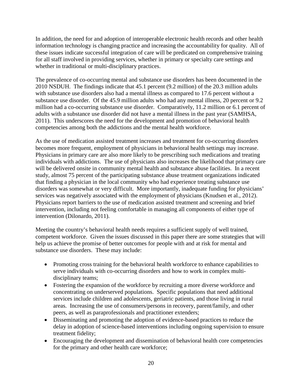In addition, the need for and adoption of interoperable electronic health records and other health information technology is changing practice and increasing the accountability for quality. All of these issues indicate successful integration of care will be predicated on comprehensive training for all staff involved in providing services, whether in primary or specialty care settings and whether in traditional or multi-disciplinary practices.

The prevalence of co-occurring mental and substance use disorders has been documented in the 2010 NSDUH. The findings indicate that 45.1 percent (9.2 million) of the 20.3 million adults with substance use disorders also had a mental illness as compared to 17.6 percent without a substance use disorder. Of the 45.9 million adults who had any mental illness, 20 percent or 9.2 million had a co-occurring substance use disorder. Comparatively, 11.2 million or 6.1 percent of adults with a substance use disorder did not have a mental illness in the past year (SAMHSA, 2011). This underscores the need for the development and promotion of behavioral health competencies among both the addictions and the mental health workforce.

As the use of medication assisted treatment increases and treatment for co-occurring disorders becomes more frequent, employment of physicians in behavioral health settings may increase. Physicians in primary care are also more likely to be prescribing such medications and treating individuals with addictions. The use of physicians also increases the likelihood that primary care will be delivered onsite in community mental health and substance abuse facilities. In a recent study, almost 75 percent of the participating substance abuse treatment organizations indicated that finding a physician in the local community who had experience treating substance use disorders was somewhat or very difficult. More importantly, inadequate funding for physicians' services was negatively associated with the employment of physicians (Knudsen et al., 2012). Physicians report barriers to the use of medication assisted treatment and screening and brief intervention, including not feeling comfortable in managing all components of either type of intervention (Dilonardo, 2011).

Meeting the country's behavioral health needs requires a sufficient supply of well trained, competent workforce. Given the issues discussed in this paper there are some strategies that will help us achieve the promise of better outcomes for people with and at risk for mental and substance use disorders. These may include:

- Promoting cross training for the behavioral health workforce to enhance capabilities to serve individuals with co-occurring disorders and how to work in complex multidisciplinary teams;
- Fostering the expansion of the workforce by recruiting a more diverse workforce and concentrating on underserved populations. Specific populations that need additional services include children and adolescents, geriatric patients, and those living in rural areas. Increasing the use of consumers/persons in recovery, parent/family, and other peers, as well as paraprofessionals and practitioner extenders;
- Disseminating and promoting the adoption of evidence-based practices to reduce the delay in adoption of science-based interventions including ongoing supervision to ensure treatment fidelity;
- Encouraging the development and dissemination of behavioral health core competencies for the primary and other health care workforce;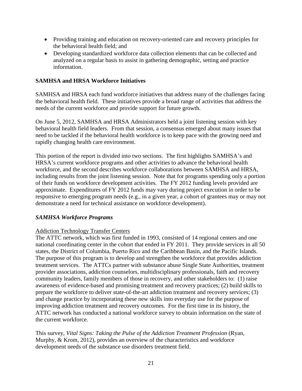- Providing training and education on recovery-oriented care and recovery principles for the behavioral health field; and
- Developing standardized workforce data collection elements that can be collected and analyzed on a regular basis to assist in gathering demographic, setting and practice information.

#### <span id="page-22-0"></span>**SAMHSA and HRSA Workforce Initiatives**

SAMHSA and HRSA each fund workforce initiatives that address many of the challenges facing the behavioral health field. These initiatives provide a broad range of activities that address the needs of the current workforce and provide support for future growth.

On June 5, 2012, SAMHSA and HRSA Administrators held a joint listening session with key behavioral health field leaders. From that session, a consensus emerged about many issues that need to be tackled if the behavioral health workforce is to keep pace with the growing need and rapidly changing health care environment.

This portion of the report is divided into two sections. The first highlights SAMHSA's and HRSA's current workforce programs and other activities to advance the behavioral health workforce, and the second describes workforce collaborations between SAMHSA and HRSA, including results from the joint listening session. Note that for programs spending only a portion of their funds on workforce development activities. The FY 2012 funding levels provided are approximate. Expenditures of FY 2012 funds may vary during project execution in order to be responsive to emerging program needs (e.g., in a given year, a cohort of grantees may or may not demonstrate a need for technical assistance on workforce development).

#### <span id="page-22-1"></span>*SAMHSA Workforce Programs*

#### Addiction Technology Transfer Centers

The ATTC network, which was first funded in 1993, consisted of 14 regional centers and one national coordinating center in the cohort that ended in FY 2011. They provide services in all 50 states, the District of Columbia, Puerto Rico and the Caribbean Basin, and the Pacific Islands. The purpose of this program is to develop and strengthen the workforce that provides addiction treatment services. The ATTCs partner with substance abuse Single State Authorities, treatment provider associations, addiction counselors, multidisciplinary professionals, faith and recovery community leaders, family members of those in recovery, and other stakeholders to: (1) raise awareness of evidence-based and promising treatment and recovery practices; (2) build skills to prepare the workforce to deliver state-of-the-art addiction treatment and recovery services; (3) and change practice by incorporating these new skills into everyday use for the purpose of improving addiction treatment and recovery outcomes. For the first time in its history, the ATTC network has conducted a national workforce survey to obtain information on the state of the current workforce.

This survey, *Vital Signs: Taking the Pulse of the Addiction Treatment Profession* (Ryan, Murphy, & Krom, 2012)*,* provides an overview of the characteristics and workforce development needs of the substance use disorders treatment field.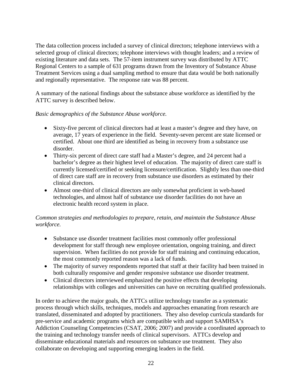The data collection process included a survey of clinical directors; telephone interviews with a selected group of clinical directors; telephone interviews with thought leaders; and a review of existing literature and data sets. The 57-item instrument survey was distributed by ATTC Regional Centers to a sample of 631 programs drawn from the Inventory of Substance Abuse Treatment Services using a dual sampling method to ensure that data would be both nationally and regionally representative. The response rate was 88 percent.

A summary of the national findings about the substance abuse workforce as identified by the ATTC survey is described below.

# *Basic demographics of the Substance Abuse workforce.*

- Sixty-five percent of clinical directors had at least a master's degree and they have, on average, 17 years of experience in the field. Seventy-seven percent are state licensed or certified. About one third are identified as being in recovery from a substance use disorder.
- Thirty-six percent of direct care staff had a Master's degree, and 24 percent had a bachelor's degree as their highest level of education. The majority of direct care staff is currently licensed/certified or seeking licensure/certification. Slightly less than one-third of direct care staff are in recovery from substance use disorders as estimated by their clinical directors.
- Almost one-third of clinical directors are only somewhat proficient in web-based technologies, and almost half of substance use disorder facilities do not have an electronic health record system in place.

# *Common strategies and methodologies to prepare, retain, and maintain the Substance Abuse workforce.*

- Substance use disorder treatment facilities most commonly offer professional development for staff through new employee orientation, ongoing training, and direct supervision. When facilities do not provide for staff training and continuing education, the most commonly reported reason was a lack of funds.
- The majority of survey respondents reported that staff at their facility had been trained in both culturally responsive and gender responsive substance use disorder treatment.
- Clinical directors interviewed emphasized the positive effects that developing relationships with colleges and universities can have on recruiting qualified professionals.

In order to achieve the major goals, the ATTCs utilize technology transfer as a systematic process through which skills, techniques, models and approaches emanating from research are translated, disseminated and adopted by practitioners. They also develop curricula standards for pre-service and academic programs which are compatible with and support SAMHSA's Addiction Counseling Competencies (CSAT, 2006; 2007) and provide a coordinated approach to the training and technology transfer needs of clinical supervisors. ATTCs develop and disseminate educational materials and resources on substance use treatment. They also collaborate on developing and supporting emerging leaders in the field.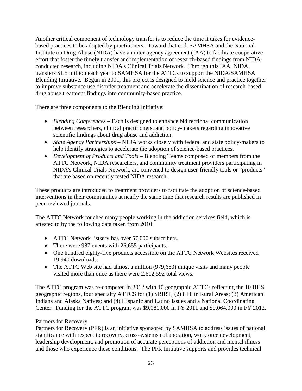Another critical component of technology transfer is to reduce the time it takes for evidencebased practices to be adopted by practitioners. Toward that end, SAMHSA and the National Institute on Drug Abuse (NIDA) have an inter-agency agreement (IAA) to facilitate cooperative effort that foster the timely transfer and implementation of research-based findings from NIDAconducted research, including NIDA's Clinical Trials Network. Through this IAA, NIDA transfers \$1.5 million each year to SAMHSA for the ATTCs to support the NIDA/SAMHSA Blending Initiative. Begun in 2001, this project is designed to meld science and practice together to improve substance use disorder treatment and accelerate the dissemination of research-based drug abuse treatment findings into community-based practice.

There are three components to the Blending Initiative:

- *Blending Conferences* Each is designed to enhance bidirectional communication between researchers, clinical practitioners, and policy-makers regarding innovative scientific findings about drug abuse and addiction.
- *State Agency Partnerships* NIDA works closely with federal and state policy-makers to help identify strategies to accelerate the adoption of science-based practices.
- *Development of Products and Tools* Blending Teams composed of members from the ATTC Network, NIDA researchers, and community treatment providers participating in NIDA's Clinical Trials Network, are convened to design user-friendly tools or "products" that are based on recently tested NIDA research.

These products are introduced to treatment providers to facilitate the adoption of science-based interventions in their communities at nearly the same time that research results are published in peer-reviewed journals.

The ATTC Network touches many people working in the addiction services field, which is attested to by the following data taken from 2010:

- ATTC Network listserv has over 57,000 subscribers.
- There were 987 events with 26,655 participants.
- One hundred eighty-five products accessible on the ATTC Network Websites received 19,940 downloads.
- The ATTC Web site had almost a million (979,680) unique visits and many people visited more than once as there were 2,612,592 total views.

The ATTC program was re-competed in 2012 with 10 geographic ATTCs reflecting the 10 HHS geographic regions, four specialty ATTCS for (1) SBIRT; (2) HIT in Rural Areas; (3) American Indians and Alaska Natives; and (4) Hispanic and Latino Issues and a National Coordinating Center. Funding for the ATTC program was \$9,081,000 in FY 2011 and \$9,064,000 in FY 2012.

# Partners for Recovery

Partners for Recovery (PFR) is an initiative sponsored by SAMHSA to address issues of national significance with respect to recovery, cross-systems collaboration, workforce development, leadership development, and promotion of accurate perceptions of addiction and mental illness and those who experience these conditions. The PFR Initiative supports and provides technical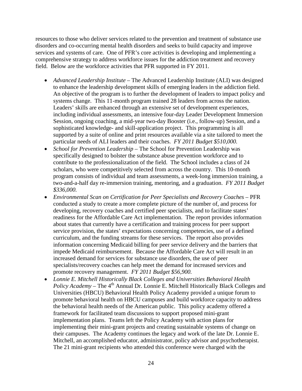resources to those who deliver services related to the prevention and treatment of substance use disorders and co-occurring mental health disorders and seeks to build capacity and improve services and systems of care. One of PFR's core activities is developing and implementing a comprehensive strategy to address workforce issues for the addiction treatment and recovery field. Below are the workforce activities that PFR supported in FY 2011.

- *Advanced Leadership Institute* The Advanced Leadership Institute (ALI) was designed to enhance the leadership development skills of emerging leaders in the addiction field. An objective of the program is to further the development of leaders to impact policy and systems change. This 11-month program trained 28 leaders from across the nation. Leaders' skills are enhanced through an extensive set of development experiences, including individual assessments, an intensive four-day Leader Development Immersion Session, ongoing coaching, a mid-year two-day Booster (i.e., follow-up) Session, and a sophisticated knowledge- and skill-application project. This programming is all supported by a suite of online and print resources available via a site tailored to meet the particular needs of ALI leaders and their coaches. *FY 2011 Budget \$510,000.*
- *School for Prevention Leadership* The School for Prevention Leadership was specifically designed to bolster the substance abuse prevention workforce and to contribute to the professionalization of the field. The School includes a class of 24 scholars, who were competitively selected from across the country. This 10-month program consists of individual and team assessments, a week-long immersion training, a two-and-a-half day re-immersion training, mentoring, and a graduation. *FY 2011 Budget \$336,000.*
- *Environmental Scan on Certification for Peer Specialists and Recovery Coaches* PFR conducted a study to create a more complete picture of the number of, and process for developing, recovery coaches and certified peer specialists, and to facilitate states' readiness for the Affordable Care Act implementation. The report provides information about states that currently have a certification and training process for peer support service provision, the states' expectations concerning competencies, use of a defined curriculum, and the funding streams for these services. The report also provides information concerning Medicaid billing for peer service delivery and the barriers that impede Medicaid reimbursement. Because the Affordable Care Act will result in an increased demand for services for substance use disorders, the use of peer specialists/recovery coaches can help meet the demand for increased services and promote recovery management. *FY 2011 Budget \$56,900.*
- *Lonnie E. Mitchell Historically Black Colleges and Universities Behavioral Health Policy Academy* – The 4<sup>th</sup> Annual Dr. Lonnie E. Mitchell Historically Black Colleges and Universities (HBCU) Behavioral Health Policy Academy provided a unique forum to promote behavioral health on HBCU campuses and build workforce capacity to address the behavioral health needs of the American public. This policy academy offered a framework for facilitated team discussions to support proposed mini-grant implementation plans. Teams left the Policy Academy with action plans for implementing their mini-grant projects and creating sustainable systems of change on their campuses. The Academy continues the legacy and work of the late Dr. Lonnie E. Mitchell, an accomplished educator, administrator, policy advisor and psychotherapist. The 21 mini-grant recipients who attended this conference were charged with the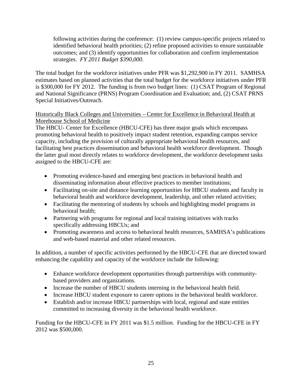following activities during the conference: (1) review campus-specific projects related to identified behavioral health priorities; (2) refine proposed activities to ensure sustainable outcomes; and (3) identify opportunities for collaboration and confirm implementation strategies. *FY 2011 Budget \$390,000*.

The total budget for the workforce initiatives under PFR was \$1,292,900 in FY 2011. SAMHSA estimates based on planned activities that the total budget for the workforce initiatives under PFR is \$300,000 for FY 2012. The funding is from two budget lines: (1) CSAT Program of Regional and National Significance (PRNS) Program Coordination and Evaluation; and, (2) CSAT PRNS Special Initiatives/Outreach.

# Historically Black Colleges and Universities – Center for Excellence in Behavioral Health at Morehouse School of Medicine

The HBCU- Center for Excellence (HBCU-CFE) has three major goals which encompass promoting behavioral health to positively impact student retention, expanding campus service capacity, including the provision of culturally appropriate behavioral health resources, and facilitating best practices dissemination and behavioral health workforce development. Though the latter goal most directly relates to workforce development, the workforce development tasks assigned to the HBCU-CFE are:

- Promoting evidence-based and emerging best practices in behavioral health and disseminating information about effective practices to member institutions;
- Facilitating on-site and distance learning opportunities for HBCU students and faculty in behavioral health and workforce development, leadership, and other related activities;
- Facilitating the mentoring of students by schools and highlighting model programs in behavioral health;
- Partnering with programs for regional and local training initiatives with tracks specifically addressing HBCUs; and
- Promoting awareness and access to behavioral health resources, SAMHSA's publications and web-based material and other related resources.

In addition, a number of specific activities performed by the HBCU-CFE that are directed toward enhancing the capability and capacity of the workforce include the following:

- Enhance workforce development opportunities through partnerships with communitybased providers and organizations.
- Increase the number of HBCU students interning in the behavioral health field.
- Increase HBCU student exposure to career options in the behavioral health workforce.
- Establish and/or increase HBCU partnerships with local, regional and state entities committed to increasing diversity in the behavioral health workforce.

Funding for the HBCU-CFE in FY 2011 was \$1.5 million. Funding for the HBCU-CFE in FY 2012 was \$500,000.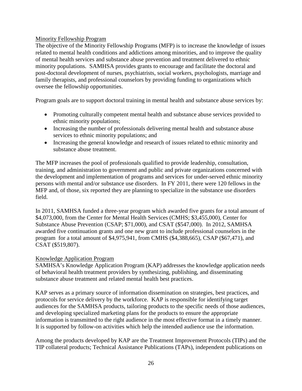#### Minority Fellowship Program

The objective of the Minority Fellowship Programs (MFP) is to increase the knowledge of issues related to mental health conditions and addictions among minorities, and to improve the quality of mental health services and substance abuse prevention and treatment delivered to ethnic minority populations. SAMHSA provides grants to encourage and facilitate the doctoral and post-doctoral development of nurses, psychiatrists, social workers, psychologists, marriage and family therapists, and professional counselors by providing funding to organizations which oversee the fellowship opportunities.

Program goals are to support doctoral training in mental health and substance abuse services by:

- Promoting culturally competent mental health and substance abuse services provided to ethnic minority populations;
- Increasing the number of professionals delivering mental health and substance abuse services to ethnic minority populations; and
- Increasing the general knowledge and research of issues related to ethnic minority and substance abuse treatment.

The MFP increases the pool of professionals qualified to provide leadership, consultation, training, and administration to government and public and private organizations concerned with the development and implementation of programs and services for under-served ethnic minority persons with mental and/or substance use disorders. In FY 2011, there were 120 fellows in the MFP and, of those, six reported they are planning to specialize in the substance use disorders field.

In 2011, SAMHSA funded a three-year program which awarded five grants for a total amount of \$4,073,000, from the Center for Mental Health Services (CMHS; \$3,455,000), Center for Substance Abuse Prevention (CSAP; \$71,000), and CSAT (\$547,000). In 2012, SAMHSA awarded five continuation grants and one new grant to include professional counselors in the program for a total amount of \$4,975,941, from CMHS (\$4,388,665), CSAP (\$67,471), and CSAT (\$519,807).

# Knowledge Application Program

SAMHSA's Knowledge Application Program (KAP) addresses the knowledge application needs of behavioral health treatment providers by synthesizing, publishing, and disseminating substance abuse treatment and related mental health best practices.

KAP serves as a primary source of information dissemination on strategies, best practices, and protocols for service delivery by the workforce. KAP is responsible for identifying target audiences for the SAMHSA products, tailoring products to the specific needs of those audiences, and developing specialized marketing plans for the products to ensure the appropriate information is transmitted to the right audience in the most effective format in a timely manner. It is supported by follow-on activities which help the intended audience use the information.

Among the products developed by KAP are the Treatment Improvement Protocols (TIPs) and the TIP collateral products; Technical Assistance Publications (TAPs), independent publications on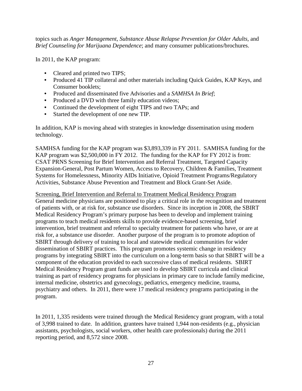topics such as *Anger Management*, *Substance Abuse Relapse Prevention for Older Adults*, and *Brief Counseling for Marijuana Dependence*; and many consumer publications/brochures.

In 2011, the KAP program:

- Cleared and printed two TIPS;
- Produced 41 TIP collateral and other materials including Quick Guides, KAP Keys, and Consumer booklets;
- Produced and disseminated five Advisories and a *SAMHSA In Brief*;
- Produced a DVD with three family education videos;
- Continued the development of eight TIPS and two TAPs; and
- Started the development of one new TIP.

In addition, KAP is moving ahead with strategies in knowledge dissemination using modern technology.

SAMHSA funding for the KAP program was \$3,893,339 in FY 2011. SAMHSA funding for the KAP program was \$2,500,000 in FY 2012. The funding for the KAP for FY 2012 is from: CSAT PRNS Screening for Brief Intervention and Referral Treatment, Targeted Capacity Expansion-General, Post Partum Women, Access to Recovery, Children & Families, Treatment Systems for Homelessness, Minority AIDs Initiative, Opioid Treatment Programs/Regulatory Activities, Substance Abuse Prevention and Treatment and Block Grant-Set Aside.

Screening, Brief Intervention and Referral to Treatment Medical Residency Program General medicine physicians are positioned to play a critical role in the recognition and treatment of patients with, or at risk for, substance use disorders. Since its inception in 2008, the SBIRT Medical Residency Program's primary purpose has been to develop and implement training programs to teach medical residents skills to provide evidence-based screening, brief intervention, brief treatment and referral to specialty treatment for patients who have, or are at risk for, a substance use disorder. Another purpose of the program is to promote adoption of SBIRT through delivery of training to local and statewide medical communities for wider dissemination of SBIRT practices. This program promotes systemic change in residency programs by integrating SBIRT into the curriculum on a long-term basis so that SBIRT will be a component of the education provided to each successive class of medical residents. SBIRT Medical Residency Program grant funds are used to develop SBIRT curricula and clinical training as part of residency programs for physicians in primary care to include family medicine, internal medicine, obstetrics and gynecology, pediatrics, emergency medicine, trauma, psychiatry and others. In 2011, there were 17 medical residency programs participating in the program.

In 2011, 1,335 residents were trained through the Medical Residency grant program, with a total of 3,998 trained to date. In addition, grantees have trained 1,944 non-residents (e.g., physician assistants, psychologists, social workers, other health care professionals) during the 2011 reporting period, and 8,572 since 2008.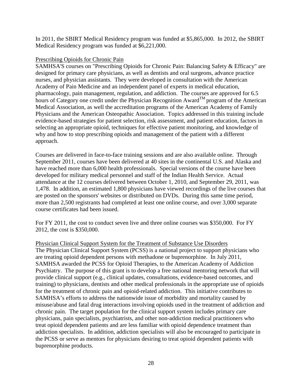In 2011, the SBIRT Medical Residency program was funded at \$5,865,000. In 2012, the SBIRT Medical Residency program was funded at \$6,221,000.

#### Prescribing Opioids for Chronic Pain

SAMHSA'S courses on "Prescribing Opioids for Chronic Pain: Balancing Safety & Efficacy" are designed for primary care physicians, as well as dentists and oral surgeons, advance practice nurses, and physician assistants. They were developed in consultation with the American Academy of Pain Medicine and an independent panel of experts in medical education, pharmacology, pain management, regulation, and addiction. The courses are approved for 6.5 hours of Category one credit under the Physician Recognition Award<sup>TM</sup> program of the American Medical Association, as well the accreditation programs of the American Academy of Family Physicians and the American Osteopathic Association. Topics addressed in this training include evidence-based strategies for patient selection, risk assessment, and patient education, factors in selecting an appropriate opioid, techniques for effective patient monitoring, and knowledge of why and how to stop prescribing opioids and management of the patient with a different approach.

Courses are delivered in face-to-face training sessions and are also available online. Through September 2011, courses have been delivered at 40 sites in the continental U.S. and Alaska and have reached more than 6,000 health professionals. Special versions of the course have been developed for military medical personnel and staff of the Indian Health Service. Actual attendance at the 12 courses delivered between October 1, 2010, and September 29, 2011, was 1,478. In addition, an estimated 1,800 physicians have viewed recordings of the live courses that are posted on the sponsors' websites or distributed on DVDs. During this same time period, more than 2,500 registrants had completed at least one online course, and over 3,000 separate course certificates had been issued.

For FY 2011, the cost to conduct seven live and three online courses was \$350,000. For FY 2012, the cost is \$350,000.

Physician Clinical Support System for the Treatment of Substance Use Disorders The Physician Clinical Support System (PCSS) is a national project to support physicians who are treating opioid dependent persons with methadone or buprenorphine. In July 2011, SAMHSA awarded the PCSS for Opioid Therapies, to the American Academy of Addiction Psychiatry. The purpose of this grant is to develop a free national mentoring network that will provide clinical support (e.g., clinical updates, consultations, evidence-based outcomes, and training) to physicians, dentists and other medical professionals in the appropriate use of opioids for the treatment of chronic pain and opioid-related addiction. This initiative contributes to SAMHSA's efforts to address the nationwide issue of morbidity and mortality caused by misuse/abuse and fatal drug interactions involving opioids used in the treatment of addiction and chronic pain. The target population for the clinical support system includes primary care physicians, pain specialists, psychiatrists, and other non-addiction medical practitioners who treat opioid dependent patients and are less familiar with opioid dependence treatment than addiction specialists. In addition, addiction specialists will also be encouraged to participate in the PCSS or serve as mentors for physicians desiring to treat opioid dependent patients with buprenorphine products.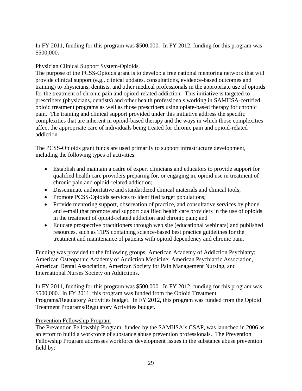#### In FY 2011, funding for this program was \$500,000. In FY 2012, funding for this program was \$500,000.

# Physician Clinical Support System-Opioids

The purpose of the PCSS-Opioids grant is to develop a free national mentoring network that will provide clinical support (e.g., clinical updates, consultations, evidence-based outcomes and training) to physicians, dentists, and other medical professionals in the appropriate use of opioids for the treatment of chronic pain and opioid-related addiction. This initiative is targeted to prescribers (physicians, dentists) and other health professionals working in SAMHSA-certified opioid treatment programs as well as those prescribers using opiate-based therapy for chronic pain. The training and clinical support provided under this initiative address the specific complexities that are inherent in opioid-based therapy and the ways in which those complexities affect the appropriate care of individuals being treated for chronic pain and opioid-related addiction.

The PCSS-Opioids grant funds are used primarily to support infrastructure development, including the following types of activities:

- Establish and maintain a cadre of expert clinicians and educators to provide support for qualified health care providers preparing for, or engaging in, opioid use in treatment of chronic pain and opioid-related addiction;
- Disseminate authoritative and standardized clinical materials and clinical tools;
- Promote PCSS-Opioids services to identified target populations;
- Provide mentoring support, observation of practice, and consultative services by phone and e-mail that promote and support qualified health care providers in the use of opioids in the treatment of opioid-related addiction and chronic pain; and
- Educate prospective practitioners through web site (educational webinars) and published resources, such as TIPS containing science-based best practice guidelines for the treatment and maintenance of patients with opioid dependency and chronic pain.

Funding was provided to the following groups: American Academy of Addiction Psychiatry; American Osteopathic Academy of Addiction Medicine; American Psychiatric Association, American Dental Association, American Society for Pain Management Nursing, and International Nurses Society on Addictions.

In FY 2011, funding for this program was \$500,000. In FY 2012, funding for this program was \$500,000. In FY 2011, this program was funded from the Opioid Treatment Programs/Regulatory Activities budget. In FY 2012, this program was funded from the Opioid Treatment Programs/Regulatory Activities budget.

# Prevention Fellowship Program

The Prevention Fellowship Program, funded by the SAMHSA's CSAP, was launched in 2006 as an effort to build a workforce of substance abuse prevention professionals. The Prevention Fellowship Program addresses workforce development issues in the substance abuse prevention field by: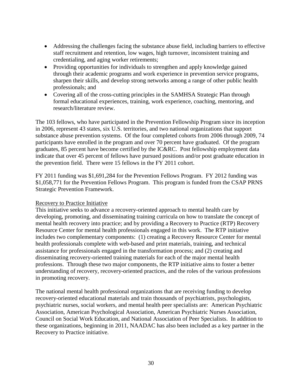- Addressing the challenges facing the substance abuse field, including barriers to effective staff recruitment and retention, low wages, high turnover, inconsistent training and credentialing, and aging worker retirements;
- Providing opportunities for individuals to strengthen and apply knowledge gained through their academic programs and work experience in prevention service programs, sharpen their skills, and develop strong networks among a range of other public health professionals; and
- Covering all of the cross-cutting principles in the SAMHSA Strategic Plan through formal educational experiences, training, work experience, coaching, mentoring, and research/literature review.

The 103 fellows, who have participated in the Prevention Fellowship Program since its inception in 2006, represent 43 states, six U.S. territories, and two national organizations that support substance abuse prevention systems. Of the four completed cohorts from 2006 through 2009, 74 participants have enrolled in the program and over 70 percent have graduated. Of the program graduates, 85 percent have become certified by the IC&RC. Post fellowship employment data indicate that over 45 percent of fellows have pursued positions and/or post graduate education in the prevention field. There were 15 fellows in the FY 2011 cohort.

FY 2011 funding was \$1,691,284 for the Prevention Fellows Program. FY 2012 funding was \$1,058,771 for the Prevention Fellows Program. This program is funded from the CSAP PRNS Strategic Prevention Framework.

#### Recovery to Practice Initiative

This initiative seeks to advance a recovery-oriented approach to mental health care by developing, promoting, and disseminating training curricula on how to translate the concept of mental health recovery into practice; and by providing a Recovery to Practice (RTP) Recovery Resource Center for mental health professionals engaged in this work. The RTP initiative includes two complementary components: (1) creating a Recovery Resource Center for mental health professionals complete with web-based and print materials, training, and technical assistance for professionals engaged in the transformation process; and (2) creating and disseminating recovery-oriented training materials for each of the major mental health professions. Through these two major components, the RTP initiative aims to foster a better understanding of recovery, recovery-oriented practices, and the roles of the various professions in promoting recovery.

The national mental health professional organizations that are receiving funding to develop recovery-oriented educational materials and train thousands of psychiatrists, psychologists, psychiatric nurses, social workers, and mental health peer specialists are: American Psychiatric Association, American Psychological Association, American Psychiatric Nurses Association, Council on Social Work Education, and National Association of Peer Specialists. In addition to these organizations, beginning in 2011, NAADAC has also been included as a key partner in the Recovery to Practice initiative.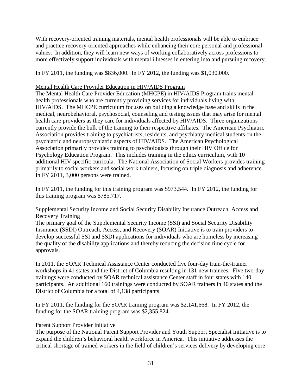With recovery-oriented training materials, mental health professionals will be able to embrace and practice recovery-oriented approaches while enhancing their core personal and professional values. In addition, they will learn new ways of working collaboratively across professions to more effectively support individuals with mental illnesses in entering into and pursuing recovery.

In FY 2011, the funding was \$836,000. In FY 2012, the funding was \$1,030,000.

# Mental Health Care Provider Education in HIV/AIDS Program

The Mental Health Care Provider Education (MHCPE) in HIV/AIDS Program trains mental health professionals who are currently providing services for individuals living with HIV/AIDS. The MHCPE curriculum focuses on building a knowledge base and skills in the medical, neurobehavioral, psychosocial, counseling and testing issues that may arise for mental health care providers as they care for individuals affected by HIV/AIDS. Three organizations currently provide the bulk of the training to their respective affiliates. The American Psychiatric Association provides training to psychiatrists, residents, and psychiatry medical students on the psychiatric and neuropsychiatric aspects of HIV/AIDS. The American Psychological Association primarily provides training to psychologists through their HIV Office for Psychology Education Program. This includes training in the ethics curriculum, with 10 additional HIV specific curricula. The National Association of Social Workers provides training primarily to social workers and social work trainers, focusing on triple diagnosis and adherence. In FY 2011, 3,000 persons were trained.

In FY 2011, the funding for this training program was \$973,544. In FY 2012, the funding for this training program was \$785,717.

# Supplemental Security Income and Social Security Disability Insurance Outreach, Access and Recovery Training

The primary goal of the Supplemental Security Income (SSI) and Social Security Disability Insurance (SSDI) Outreach, Access, and Recovery (SOAR) Initiative is to train providers to develop successful SSI and SSDI applications for individuals who are homeless by increasing the quality of the disability applications and thereby reducing the decision time cycle for approvals.

In 2011, the SOAR Technical Assistance Center conducted five four-day train-the-trainer workshops in 41 states and the District of Columbia resulting in 131 new trainees. Five two-day trainings were conducted by SOAR technical assistance Center staff in four states with 140 participants. An additional 160 trainings were conducted by SOAR trainers in 40 states and the District of Columbia for a total of 4,138 participants.

In FY 2011, the funding for the SOAR training program was \$2,141,668. In FY 2012, the funding for the SOAR training program was \$2,355,824.

# Parent Support Provider Initiative

The purpose of the National Parent Support Provider and Youth Support Specialist Initiative is to expand the children's behavioral health workforce in America. This initiative addresses the critical shortage of trained workers in the field of children's services delivery by developing core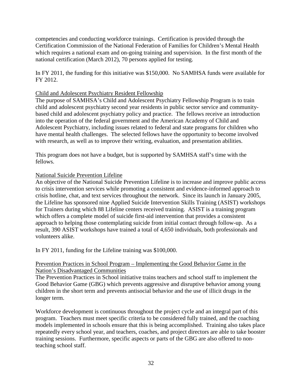competencies and conducting workforce trainings. Certification is provided through the Certification Commission of the National Federation of Families for Children's Mental Health which requires a national exam and on-going training and supervision. In the first month of the national certification (March 2012), 70 persons applied for testing.

In FY 2011, the funding for this initiative was \$150,000. No SAMHSA funds were available for FY 2012.

#### Child and Adolescent Psychiatry Resident Fellowship

The purpose of SAMHSA's Child and Adolescent Psychiatry Fellowship Program is to train child and adolescent psychiatry second year residents in public sector service and communitybased child and adolescent psychiatry policy and practice. The fellows receive an introduction into the operation of the federal government and the American Academy of Child and Adolescent Psychiatry, including issues related to federal and state programs for children who have mental health challenges. The selected fellows have the opportunity to become involved with research, as well as to improve their writing, evaluation, and presentation abilities.

This program does not have a budget, but is supported by SAMHSA staff's time with the fellows.

#### National Suicide Prevention Lifeline

An objective of the National Suicide Prevention Lifeline is to increase and improve public access to crisis intervention services while promoting a consistent and evidence-informed approach to crisis hotline, chat, and text services throughout the network. Since its launch in January 2005, the Lifeline has sponsored nine Applied Suicide Intervention Skills Training (ASIST) workshops for Trainers during which 88 Lifeline centers received training. ASIST is a training program which offers a complete model of suicide first-aid intervention that provides a consistent approach to helping those contemplating suicide from initial contact through follow-up. As a result, 390 ASIST workshops have trained a total of 4,650 individuals, both professionals and volunteers alike.

In FY 2011, funding for the Lifeline training was \$100,000.

#### Prevention Practices in School Program – Implementing the Good Behavior Game in the Nation's Disadvantaged Communities

The Prevention Practices in School initiative trains teachers and school staff to implement the Good Behavior Game (GBG) which prevents aggressive and disruptive behavior among young children in the short term and prevents antisocial behavior and the use of illicit drugs in the longer term.

Workforce development is continuous throughout the project cycle and an integral part of this program. Teachers must meet specific criteria to be considered fully trained, and the coaching models implemented in schools ensure that this is being accomplished. Training also takes place repeatedly every school year, and teachers, coaches, and project directors are able to take booster training sessions. Furthermore, specific aspects or parts of the GBG are also offered to nonteaching school staff.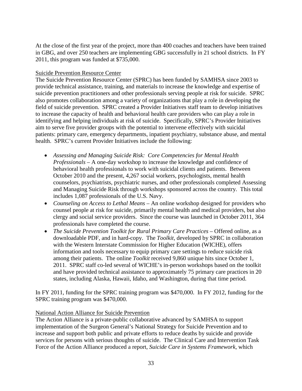At the close of the first year of the project, more than 400 coaches and teachers have been trained in GBG, and over 250 teachers are implementing GBG successfully in 21 school districts. In FY 2011, this program was funded at \$735,000.

#### Suicide Prevention Resource Center

The Suicide Prevention Resource Center (SPRC) has been funded by SAMHSA since 2003 to provide technical assistance, training, and materials to increase the knowledge and expertise of suicide prevention practitioners and other professionals serving people at risk for suicide. SPRC also promotes collaboration among a variety of organizations that play a role in developing the field of suicide prevention. SPRC created a Provider Initiatives staff team to develop initiatives to increase the capacity of health and behavioral health care providers who can play a role in identifying and helping individuals at risk of suicide. Specifically, SPRC's Provider Initiatives aim to serve five provider groups with the potential to intervene effectively with suicidal patients: primary care, emergency departments, inpatient psychiatry, substance abuse, and mental health. SPRC's current Provider Initiatives include the following:

- *Assessing and Managing Suicide Risk: Core Competencies for Mental Health Professionals* – A one-day workshop to increase the knowledge and confidence of behavioral health professionals to work with suicidal clients and patients. Between October 2010 and the present, 4,267 social workers, psychologists, mental health counselors, psychiatrists, psychiatric nurses, and other professionals completed Assessing and Managing Suicide Risk through workshops sponsored across the country. This total includes 1,087 professionals of the U.S. Navy.
- *Counseling on Access to Lethal Means* An online workshop designed for providers who counsel people at risk for suicide, primarily mental health and medical providers, but also clergy and social service providers. Since the course was launched in October 2011, 364 professionals have completed the course.
- *The Suicide Prevention Toolkit for Rural Primary Care Practices* Offered online, as a downloadable PDF, and in hard-copy. The *Toolkit,* developed by SPRC in collaboration with the Western Interstate Commission for Higher Education (WICHE), offers information and tools necessary to equip primary care settings to reduce suicide risk among their patients. The online *Toolkit* received 9,860 unique hits since October 1, 2011. SPRC staff co-led several of WICHE's in-person workshops based on the toolkit and have provided technical assistance to approximately 75 primary care practices in 20 states, including Alaska, Hawaii, Idaho, and Washington, during that time period.

In FY 2011, funding for the SPRC training program was \$470,000. In FY 2012, funding for the SPRC training program was \$470,000.

#### National Action Alliance for Suicide Prevention

The Action Alliance is a private-public collaborative advanced by SAMHSA to support implementation of the Surgeon General's National Strategy for Suicide Prevention and to increase and support both public and private efforts to reduce deaths by suicide and provide services for persons with serious thoughts of suicide. The Clinical Care and Intervention Task Force of the Action Alliance produced a report, *Suicide Care in Systems Framework,* which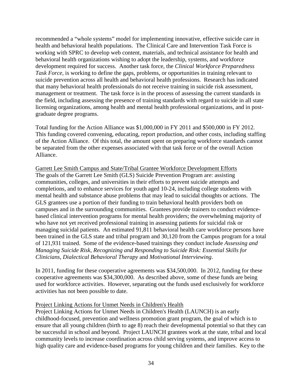recommended a "whole systems" model for implementing innovative, effective suicide care in health and behavioral health populations. The Clinical Care and Intervention Task Force is working with SPRC to develop web content, materials, and technical assistance for health and behavioral health organizations wishing to adopt the leadership, systems, and workforce development required for success. Another task force, the *Clinical Workforce Preparedness Task Force,* is working to define the gaps, problems, or opportunities in training relevant to suicide prevention across all health and behavioral health professions. Research has indicated that many behavioral health professionals do not receive training in suicide risk assessment, management or treatment. The task force is in the process of assessing the current standards in the field, including assessing the presence of training standards with regard to suicide in all state licensing organizations, among health and mental health professional organizations, and in postgraduate degree programs.

Total funding for the Action Alliance was \$1,000,000 in FY 2011 and \$500,000 in FY 2012. This funding covered convening, educating, report production, and other costs, including staffing of the Action Alliance. Of this total, the amount spent on preparing workforce standards cannot be separated from the other expenses associated with that task force or of the overall Action Alliance.

Garrett Lee Smith Campus and State/Tribal Grantee Workforce Development Efforts The goals of the Garrett Lee Smith (GLS) Suicide Prevention Program are: assisting communities, colleges, and universities in their efforts to prevent suicide attempts and completions, and to enhance services for youth aged 10-24, including college students with mental health and substance abuse problems that may lead to suicidal thoughts or actions. The GLS grantees use a portion of their funding to train behavioral health providers both on campuses and in the surrounding communities. Grantees provide trainers to conduct evidencebased clinical intervention programs for mental health providers; the overwhelming majority of who have not yet received professional training in assessing patients for suicidal risk or managing suicidal patients. An estimated 91,811 behavioral health care workforce persons have been trained in the GLS state and tribal program and 30,120 from the Campus program for a total of 121,931 trained. Some of the evidence-based trainings they conduct include *Assessing and Managing Suicide Risk*, *Recognizing and Responding to Suicide Risk: Essential Skills for Clinicians, Dialectical Behavioral Therapy* and *Motivational Interviewing*.

In 2011, funding for these cooperative agreements was \$34,500,000. In 2012, funding for these cooperative agreements was \$34,300,000. As described above, some of these funds are being used for workforce activities. However, separating out the funds used exclusively for workforce activities has not been possible to date.

#### Project Linking Actions for Unmet Needs in Children's Health

Project Linking Actions for Unmet Needs in Children's Health (LAUNCH) is an early childhood-focused, prevention and wellness promotion grant program, the goal of which is to ensure that all young children (birth to age 8) reach their developmental potential so that they can be successful in school and beyond. Project LAUNCH grantees work at the state, tribal and local community levels to increase coordination across child serving systems, and improve access to high quality care and evidence-based programs for young children and their families. Key to the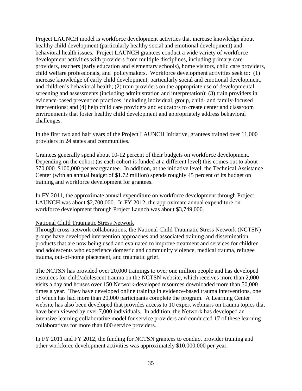Project LAUNCH model is workforce development activities that increase knowledge about healthy child development (particularly healthy social and emotional development) and behavioral health issues. Project LAUNCH grantees conduct a wide variety of workforce development activities with providers from multiple disciplines, including primary care providers, teachers (early education and elementary schools), home visitors, child care providers, child welfare professionals, and policymakers. Workforce development activities seek to: (1) increase knowledge of early child development, particularly social and emotional development, and children's behavioral health; (2) train providers on the appropriate use of developmental screening and assessments (including administration and interpretation); (3) train providers in evidence-based prevention practices, including individual, group, child- and family-focused interventions; and (4) help child care providers and educators to create center and classroom environments that foster healthy child development and appropriately address behavioral challenges.

In the first two and half years of the Project LAUNCH Initiative, grantees trained over 11,000 providers in 24 states and communities.

Grantees generally spend about 10-12 percent of their budgets on workforce development. Depending on the cohort (as each cohort is funded at a different level) this comes out to about \$70,000–\$100,000 per year/grantee. In addition, at the initiative level, the Technical Assistance Center (with an annual budget of \$1.72 million) spends roughly 45 percent of its budget on training and workforce development for grantees.

In FY 2011, the approximate annual expenditure on workforce development through Project LAUNCH was about \$2,700,000. In FY 2012, the approximate annual expenditure on workforce development through Project Launch was about \$3,749,000.

#### National Child Traumatic Stress Network

Through cross-network collaborations, the National Child Traumatic Stress Network (NCTSN) groups have developed intervention approaches and associated training and dissemination products that are now being used and evaluated to improve treatment and services for children and adolescents who experience domestic and community violence, medical trauma, refugee trauma, out-of-home placement, and traumatic grief.

The NCTSN has provided over 20,000 trainings to over one million people and has developed resources for child/adolescent trauma on the NCTSN website, which receives more than 2,000 visits a day and houses over 150 Network-developed resources downloaded more than 50,000 times a year. They have developed online training in evidence-based trauma interventions, one of which has had more than 20,000 participants complete the program. A Learning Center website has also been developed that provides access to 10 expert webinars on trauma topics that have been viewed by over 7,000 individuals. In addition, the Network has developed an intensive learning collaborative model for service providers and conducted 17 of these learning collaboratives for more than 800 service providers.

In FY 2011 and FY 2012, the funding for NCTSN grantees to conduct provider training and other workforce development activities was approximately \$10,000,000 per year.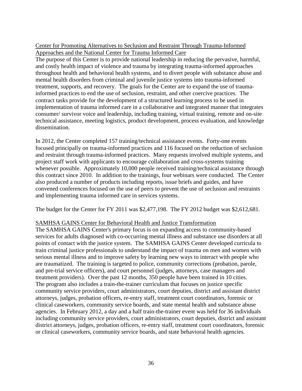# Center for Promoting Alternatives to Seclusion and Restraint Through Trauma-Informed Approaches and the National Center for Trauma Informed Care

The purpose of this Center is to provide national leadership in reducing the pervasive, harmful, and costly health impact of violence and trauma by integrating trauma-informed approaches throughout health and behavioral health systems, and to divert people with substance abuse and mental health disorders from criminal and juvenile justice systems into trauma-informed treatment, supports, and recovery. The goals for the Center are to expand the use of traumainformed practices to end the use of seclusion, restraint, and other coercive practices. The contract tasks provide for the development of a structured learning process to be used in implementation of trauma informed care in a collaborative and integrated manner that integrates consumer/ survivor voice and leadership, including training, virtual training, remote and on-site technical assistance, meeting logistics, product development, process evaluation, and knowledge dissemination.

In 2012, the Center completed 157 training/technical assistance events. Forty-one events focused principally on trauma-informed practices and 116 focused on the reduction of seclusion and restraint through trauma-informed practices. Many requests involved multiple systems, and project staff work with applicants to encourage collaboration and cross-systems training whenever possible. Approximately 10,000 people received training/technical assistance through this contract since 2010. In addition to the trainings, four webinars were conducted. The Center also produced a number of products including reports, issue briefs and guides, and have convened conferences focused on the use of peers to prevent the use of seclusion and restraints and implementing trauma informed care in services systems.

The budget for the Center for FY 2011 was \$2,477,198. The FY 2012 budget was \$2,612,681.

#### SAMHSA GAINS Center for Behavioral Health and Justice Transformation

The SAMHSA GAINS Center's primary focus is on expanding access to community-based services for adults diagnosed with co-occurring mental illness and substance use disorders at all points of contact with the justice system. The SAMHSA GAINS Center developed curricula to train criminal justice professionals to understand the impact of trauma on men and women with serious mental illness and to improve safety by learning new ways to interact with people who are traumatized. The training is targeted to police, community corrections (probation, parole, and pre-trial service officers), and court personnel (judges, attorneys, case managers and treatment providers). Over the past 12 months, 350 people have been trained in 10 cities. The program also includes a train-the-trainer curriculum that focuses on justice specific community service providers, court administrators, court deputies, district and assistant district attorneys, judges, probation officers, re-entry staff, treatment court coordinators, forensic or clinical caseworkers, community service boards, and state mental health and substance abuse agencies. In February 2012, a day and a half train-the-trainer event was held for 36 individuals including community service providers, court administrators, court deputies, district and assistant district attorneys, judges, probation officers, re-entry staff, treatment court coordinators, forensic or clinical caseworkers, community service boards, and state behavioral health agencies.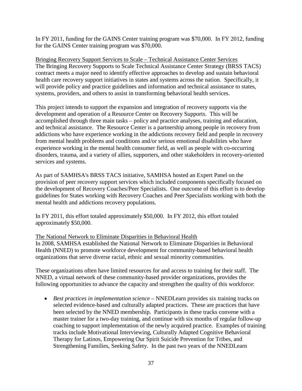In FY 2011, funding for the GAINS Center training program was \$70,000. In FY 2012, funding for the GAINS Center training program was \$70,000.

Bringing Recovery Support Services to Scale – Technical Assistance Center Services The Bringing Recovery Supports to Scale Technical Assistance Center Strategy (BRSS TACS) contract meets a major need to identify effective approaches to develop and sustain behavioral health care recovery support initiatives in states and systems across the nation. Specifically, it will provide policy and practice guidelines and information and technical assistance to states, systems, providers, and others to assist in transforming behavioral health services.

This project intends to support the expansion and integration of recovery supports via the development and operation of a Resource Center on Recovery Supports. This will be accomplished through three main tasks – policy and practice analyses, training and education, and technical assistance. The Resource Center is a partnership among people in recovery from addictions who have experience working in the addictions recovery field and people in recovery from mental health problems and conditions and/or serious emotional disabilities who have experience working in the mental health consumer field, as well as people with co-occurring disorders, trauma, and a variety of allies, supporters, and other stakeholders in recovery-oriented services and systems.

As part of SAMHSA's BRSS TACS initiative, SAMHSA hosted an Expert Panel on the provision of peer recovery support services which included components specifically focused on the development of Recovery Coaches/Peer Specialists. One outcome of this effort is to develop guidelines for States working with Recovery Coaches and Peer Specialists working with both the mental health and addictions recovery populations.

In FY 2011, this effort totaled approximately \$50,000. In FY 2012, this effort totaled approximately \$50,000.

#### The National Network to Eliminate Disparities in Behavioral Health

In 2008, SAMHSA established the National Network to Eliminate Disparities in Behavioral Health (NNED) to promote workforce development for community-based behavioral health organizations that serve diverse racial, ethnic and sexual minority communities.

These organizations often have limited resources for and access to training for their staff. The NNED, a virtual network of these community-based provider organizations, provides the following opportunities to advance the capacity and strengthen the quality of this workforce:

• *Best practices in implementation science* – NNEDLearn provides six training tracks on selected evidence-based and culturally adapted practices. These are practices that have been selected by the NNED membership. Participants in these tracks convene with a master trainer for a two-day training, and continue with six months of regular follow-up coaching to support implementation of the newly acquired practice. Examples of training tracks include Motivational Interviewing, Culturally Adapted Cognitive Behavioral Therapy for Latinos, Empowering Our Spirit Suicide Prevention for Tribes, and Strengthening Families, Seeking Safety. In the past two years of the NNEDLearn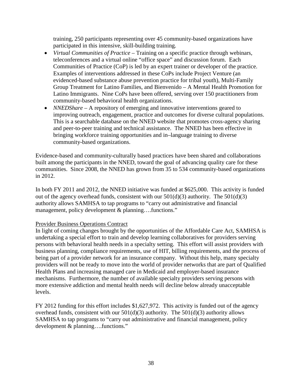training, 250 participants representing over 45 community-based organizations have participated in this intensive, skill-building training.

- *Virtual Communities of Practice* Training on a specific practice through webinars, teleconferences and a virtual online "office space" and discussion forum. Each Communities of Practice (CoP) is led by an expert trainer or developer of the practice. Examples of interventions addressed in these CoPs include Project Venture (an evidenced-based substance abuse prevention practice for tribal youth), Multi-Family Group Treatment for Latino Families, and Bienvenido – A Mental Health Promotion for Latino Immigrants. Nine CoPs have been offered, serving over 150 practitioners from community-based behavioral health organizations.
- *NNEDShare* A repository of emerging and innovative interventions geared to improving outreach, engagement, practice and outcomes for diverse cultural populations. This is a searchable database on the NNED website that promotes cross-agency sharing and peer-to-peer training and technical assistance. The NNED has been effective in bringing workforce training opportunities and in–language training to diverse community-based organizations.

Evidence-based and community-culturally based practices have been shared and collaborations built among the participants in the NNED, toward the goal of advancing quality care for these communities. Since 2008, the NNED has grown from 35 to 534 community-based organizations in 2012.

In both FY 2011 and 2012, the NNED initiative was funded at \$625,000. This activity is funded out of the agency overhead funds, consistent with our  $501(d)(3)$  authority. The  $501(d)(3)$ authority allows SAMHSA to tap programs to "carry out administrative and financial management, policy development & planning....functions."

#### Provider Business Operations Contract

In light of coming changes brought by the opportunities of the Affordable Care Act, SAMHSA is undertaking a special effort to train and develop learning collaboratives for providers serving persons with behavioral health needs in a specialty setting. This effort will assist providers with business planning, compliance requirements, use of HIT, billing requirements, and the process of being part of a provider network for an insurance company. Without this help, many specialty providers will not be ready to move into the world of provider networks that are part of Qualified Health Plans and increasing managed care in Medicaid and employer-based insurance mechanisms. Furthermore, the number of available specialty providers serving persons with more extensive addiction and mental health needs will decline below already unacceptable levels.

FY 2012 funding for this effort includes \$1,627,972. This activity is funded out of the agency overhead funds, consistent with our  $501(d)(3)$  authority. The  $501(d)(3)$  authority allows SAMHSA to tap programs to "carry out administrative and financial management, policy development & planning….functions."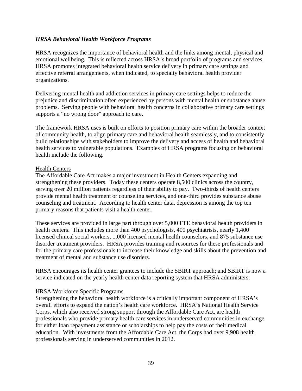#### <span id="page-40-0"></span>*HRSA Behavioral Health Workforce Programs*

HRSA recognizes the importance of behavioral health and the links among mental, physical and emotional wellbeing. This is reflected across HRSA's broad portfolio of programs and services. HRSA promotes integrated behavioral health service delivery in primary care settings and effective referral arrangements, when indicated, to specialty behavioral health provider organizations.

Delivering mental health and addiction services in primary care settings helps to reduce the prejudice and discrimination often experienced by persons with mental health or substance abuse problems. Serving people with behavioral health concerns in collaborative primary care settings supports a "no wrong door" approach to care.

The framework HRSA uses is built on efforts to position primary care within the broader context of community health, to align primary care and behavioral health seamlessly, and to consistently build relationships with stakeholders to improve the delivery and access of health and behavioral health services to vulnerable populations. Examples of HRSA programs focusing on behavioral health include the following.

#### Health Centers

The Affordable Care Act makes a major investment in Health Centers expanding and strengthening these providers. Today these centers operate 8,500 clinics across the country, serving over 20 million patients regardless of their ability to pay. Two-thirds of health centers provide mental health treatment or counseling services, and one-third provides substance abuse counseling and treatment. According to health center data, depression is among the top ten primary reasons that patients visit a health center*.*

These services are provided in large part through over 5,000 FTE behavioral health providers in health centers. This includes more than 400 psychologists, 400 psychiatrists, nearly 1,400 licensed clinical social workers, 1,000 licensed mental health counselors, and 875 substance use disorder treatment providers. HRSA provides training and resources for these professionals and for the primary care professionals to increase their knowledge and skills about the prevention and treatment of mental and substance use disorders.

HRSA encourages its health center grantees to include the SBIRT approach; and SBIRT is now a service indicated on the yearly health center data reporting system that HRSA administers.

#### HRSA Workforce Specific Programs

Strengthening the behavioral health workforce is a critically important component of HRSA's overall efforts to expand the nation's health care workforce. HRSA's National Health Service Corps, which also received strong support through the Affordable Care Act, are health professionals who provide primary health care services in underserved communities in exchange for either loan repayment assistance or scholarships to help pay the costs of their medical education. With investments from the Affordable Care Act, the Corps had over 9,908 health professionals serving in underserved communities in 2012.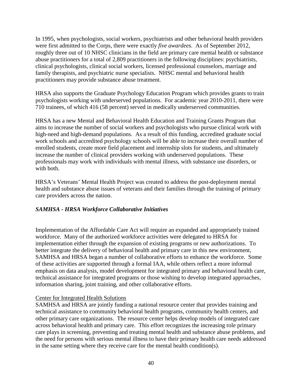In 1995, when psychologists, social workers, psychiatrists and other behavioral health providers were first admitted to the Corps, there were exactly *five awardees*. As of September 2012, roughly three out of 10 NHSC clinicians in the field are primary care mental health or substance abuse practitioners for a total of 2,809 practitioners in the following disciplines: psychiatrists, clinical psychologists, clinical social workers, licensed professional counselors, marriage and family therapists, and psychiatric nurse specialists. NHSC mental and behavioral health practitioners may provide substance abuse treatment.

HRSA also supports the Graduate Psychology Education Program which provides grants to train psychologists working with underserved populations. For academic year 2010-2011, there were 710 trainees, of which 416 (58 percent) served in medically underserved communities.

HRSA has a new Mental and Behavioral Health Education and Training Grants Program that aims to increase the number of social workers and psychologists who pursue clinical work with high-need and high-demand populations. As a result of this funding, accredited graduate social work schools and accredited psychology schools will be able to increase their overall number of enrolled students, create more field placement and internship slots for students, and ultimately increase the number of clinical providers working with underserved populations. These professionals may work with individuals with mental illness, with substance use disorders, or with both.

HRSA's Veterans' Mental Health Project was created to address the post-deployment mental health and substance abuse issues of veterans and their families through the training of primary care providers across the nation.

# <span id="page-41-0"></span>*SAMHSA - HRSA Workforce Collaborative Initiatives*

Implementation of the Affordable Care Act will require an expanded and appropriately trained workforce. Many of the authorized workforce activities were delegated to HRSA for implementation either through the expansion of existing programs or new authorizations. To better integrate the delivery of behavioral health and primary care in this new environment, SAMHSA and HRSA began a number of collaborative efforts to enhance the workforce. Some of these activities are supported through a formal IAA, while others reflect a more informal emphasis on data analysis, model development for integrated primary and behavioral health care, technical assistance for integrated programs or those wishing to develop integrated approaches, information sharing, joint training, and other collaborative efforts.

# Center for Integrated Health Solutions

SAMHSA and HRSA are jointly funding a national resource center that provides training and technical assistance to community behavioral health programs, community health centers, and other primary care organizations. The resource center helps develop models of integrated care across behavioral health and primary care. This effort recognizes the increasing role primary care plays in screening, preventing and treating mental health and substance abuse problems, and the need for persons with serious mental illness to have their primary health care needs addressed in the same setting where they receive care for the mental health condition(s).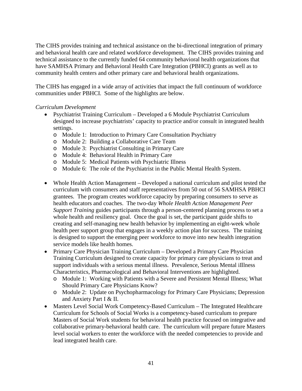The CIHS provides training and technical assistance on the bi-directional integration of primary and behavioral health care and related workforce development. The CIHS provides training and technical assistance to the currently funded 64 community behavioral health organizations that have SAMHSA Primary and Behavioral Health Care Integration (PBHCI) grants as well as to community health centers and other primary care and behavioral health organizations.

The CIHS has engaged in a wide array of activities that impact the full continuum of workforce communities under PBHCI. Some of the highlights are below.

#### *Curriculum Development*

- Psychiatrist Training Curriculum Developed a 6 Module Psychiatrist Curriculum designed to increase psychiatrists' capacity to practice and/or consult in integrated health settings.
	- o Module 1: Introduction to Primary Care Consultation Psychiatry
	- o Module 2: Building a Collaborative Care Team
	- o Module 3: Psychiatrist Consulting in Primary Care
	- o Module 4: Behavioral Health in Primary Care
	- o Module 5: Medical Patients with Psychiatric Illness
	- o Module 6: The role of the Psychiatrist in the Public Mental Health System.
- Whole Health Action Management Developed a national curriculum and pilot tested the curriculum with consumers and staff representatives from 50 out of 56 SAMHSA PBHCI grantees. The program creates workforce capacity by preparing consumers to serve as health educators and coaches. The two-day *Whole Health Action Management Peer Support Training* guides participants through a person-centered planning process to set a whole health and resiliency goal. Once the goal is set, the participant guide shifts to creating and self-managing new health behavior by implementing an eight-week whole health peer support group that engages in a weekly action plan for success. The training is designed to support the emerging peer workforce to move into new health integration service models like health homes.
- Primary Care Physician Training Curriculum Developed a Primary Care Physician Training Curriculum designed to create capacity for primary care physicians to treat and support individuals with a serious mental illness. Prevalence, Serious Mental iIllness Characteristics, Pharmacological and Behavioral Interventions are highlighted.
	- o Module 1: Working with Patients with a Severe and Persistent Mental Illness; What Should Primary Care Physicians Know?
	- o Module 2: Update on Psychopharmacology for Primary Care Physicians; Depression and Anxiety Part I & II.
- Masters Level Social Work Competency-Based Curriculum The Integrated Healthcare Curriculum for Schools of Social Works is a competency-based curriculum to prepare Masters of Social Work students for behavioral health practice focused on integrative and collaborative primary-behavioral health care. The curriculum will prepare future Masters level social workers to enter the workforce with the needed competencies to provide and lead integrated health care.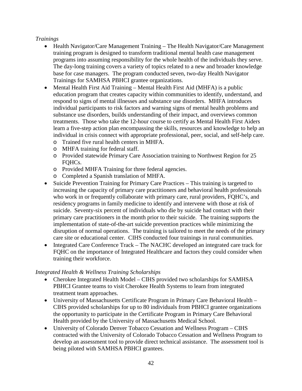# *Trainings*

- Health Navigator/Care Management Training The Health Navigator/Care Management training program is designed to transform traditional mental health case management programs into assuming responsibility for the whole health of the individuals they serve. The day-long training covers a variety of topics related to a new and broader knowledge base for case managers. The program conducted seven, two-day Health Navigator Trainings for SAMHSA PBHCI grantee organizations.
- Mental Health First Aid Training Mental Health First Aid (MHFA) is a public education program that creates capacity within communities to identify, understand, and respond to signs of mental illnesses and substance use disorders. MHFA introduces individual participants to risk factors and warning signs of mental health problems and substance use disorders, builds understanding of their impact, and overviews common treatments. Those who take the 12-hour course to certify as Mental Health First Aiders learn a five-step action plan encompassing the skills, resources and knowledge to help an individual in crisis connect with appropriate professional, peer, social, and self-help care.
	- o Trained five rural health centers in MHFA.
	- o MHFA training for federal staff.
	- o Provided statewide Primary Care Association training to Northwest Region for 25 FOHC<sub>s</sub>.
	- o Provided MHFA Training for three federal agencies.
	- o Completed a Spanish translation of MHFA.
- Suicide Prevention Training for Primary Care Practices This training is targeted to increasing the capacity of primary care practitioners and behavioral health professionals who work in or frequently collaborate with primary care, rural providers, FQHC's, and residency programs in family medicine to identify and intervene with those at risk of suicide. Seventy-six percent of individuals who die by suicide had contact with their primary care practitioners in the month prior to their suicide. The training supports the implementation of state-of-the-art suicide prevention practices while minimizing the disruption of normal operations. The training is tailored to meet the needs of the primary care site or educational center. CIHS conducted four trainings in rural communities.
- Integrated Care Conference Track The NACHC developed an integrated care track for FQHC on the importance of Integrated Healthcare and factors they could consider when training their workforce.

# *Integrated Health & Wellness Training Scholarships*

- Cherokee Integrated Health Model CIHS provided two scholarships for SAMHSA PBHCI Grantee teams to visit Cherokee Health Systems to learn from integrated treatment team approaches.
- University of Massachusetts Certificate Program in Primary Care Behavioral Health CIHS provided scholarships for up to 80 individuals from PBHCI grantee organizations the opportunity to participate in the Certificate Program in Primary Care Behavioral Health provided by the University of Massachusetts Medical School.
- University of Colorado Denver Tobacco Cessation and Wellness Program CIHS contracted with the University of Colorado Tobacco Cessation and Wellness Program to develop an assessment tool to provide direct technical assistance. The assessment tool is being piloted with SAMHSA PBHCI grantees.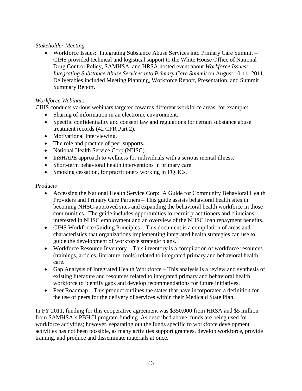# *Stakeholder Meeting*

• Workforce Issues: Integrating Substance Abuse Services into Primary Care Summit – CIHS provided technical and logistical support to the White House Office of National Drug Control Policy, SAMHSA, and HRSA hosted event about *Workforce Issues: Integrating Substance Abuse Services into Primary Care Summit* on August 10-11, 2011. Deliverables included Meeting Planning, Workforce Report, Presentation, and Summit Summary Report.

# *Workforce Webinars*

CIHS conducts various webinars targeted towards different workforce areas, for example:

- Sharing of information in an electronic environment.
- Specific confidentiality and consent law and regulations for certain substance abuse treatment records (42 CFR Part 2).
- Motivational Interviewing.
- The role and practice of peer supports.
- National Health Service Corp (NHSC).
- InSHAPE approach to wellness for individuals with a serious mental illness.
- Short-term behavioral health interventions in primary care.
- Smoking cessation, for practitioners working in FQHCs.

# *Products*

- Accessing the National Health Service Corp: A Guide for Community Behavioral Health Providers and Primary Care Partners – This guide assists behavioral health sites in becoming NHSC-approved sites and expanding the behavioral health workforce in those communities. The guide includes opportunities to recruit practitioners and clinicians interested in NHSC employment and an overview of the NHSC loan repayment benefits.
- CIHS Workforce Guiding Principles This document is a compilation of areas and characteristics that organizations implementing integrated health strategies can use to guide the development of workforce strategic plans.
- Workforce Resource Inventory This inventory is a compilation of workforce resources (trainings, articles, literature, tools) related to integrated primary and behavioral health care.
- Gap Analysis of Integrated Health Workforce This analysis is a review and synthesis of existing literature and resources related to integrated primary and behavioral health workforce to identify gaps and develop recommendations for future initiatives.
- Peer Roadmap This product outlines the states that have incorporated a definition for the use of peers for the delivery of services within their Medicaid State Plan.

In FY 2011, funding for this cooperative agreement was \$350,000 from HRSA and \$5 million from SAMHSA's PBHCI program funding As described above, funds are being used for workforce activities; however, separating out the funds specific to workforce development activities has not been possible, as many activities support grantees, develop workforce, provide training, and produce and disseminate materials at once.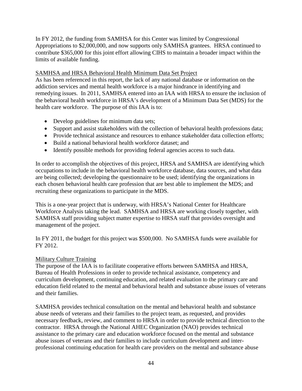In FY 2012, the funding from SAMHSA for this Center was limited by Congressional Appropriations to \$2,000,000, and now supports only SAMHSA grantees. HRSA continued to contribute \$365,000 for this joint effort allowing CIHS to maintain a broader impact within the limits of available funding.

#### SAMHSA and HRSA Behavioral Health Minimum Data Set Project

As has been referenced in this report, the lack of any national database or information on the addiction services and mental health workforce is a major hindrance in identifying and remedying issues. In 2011, SAMHSA entered into an IAA with HRSA to ensure the inclusion of the behavioral health workforce in HRSA's development of a Minimum Data Set (MDS) for the health care workforce. The purpose of this IAA is to:

- Develop guidelines for minimum data sets;
- Support and assist stakeholders with the collection of behavioral health professions data;
- Provide technical assistance and resources to enhance stakeholder data collection efforts;
- Build a national behavioral health workforce dataset; and
- Identify possible methods for providing federal agencies access to such data.

In order to accomplish the objectives of this project, HRSA and SAMHSA are identifying which occupations to include in the behavioral health workforce database, data sources, and what data are being collected; developing the questionnaire to be used; identifying the organizations in each chosen behavioral health care profession that are best able to implement the MDS; and recruiting these organizations to participate in the MDS.

This is a one-year project that is underway, with HRSA's National Center for Healthcare Workforce Analysis taking the lead. SAMHSA and HRSA are working closely together, with SAMHSA staff providing subject matter expertise to HRSA staff that provides oversight and management of the project.

In FY 2011, the budget for this project was \$500,000. No SAMHSA funds were available for FY 2012.

# Military Culture Training

The purpose of the IAA is to facilitate cooperative efforts between SAMHSA and HRSA, Bureau of Health Professions in order to provide technical assistance, competency and curriculum development, continuing education, and related evaluation to the primary care and education field related to the mental and behavioral health and substance abuse issues of veterans and their families.

SAMHSA provides technical consultation on the mental and behavioral health and substance abuse needs of veterans and their families to the project team, as requested, and provides necessary feedback, review, and comment to HRSA in order to provide technical direction to the contractor. HRSA through the National AHEC Organization (NAO) provides technical assistance to the primary care and education workforce focused on the mental and substance abuse issues of veterans and their families to include curriculum development and interprofessional continuing education for health care providers on the mental and substance abuse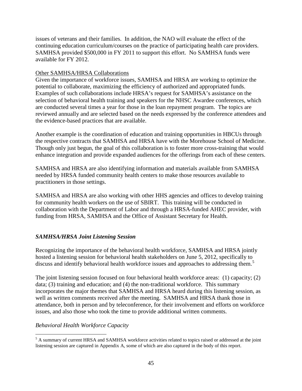issues of veterans and their families. In addition, the NAO will evaluate the effect of the continuing education curriculum/courses on the practice of participating health care providers. SAMHSA provided \$500,000 in FY 2011 to support this effort. No SAMHSA funds were available for FY 2012.

#### Other SAMHSA/HRSA Collaborations

Given the importance of workforce issues, SAMHSA and HRSA are working to optimize the potential to collaborate, maximizing the efficiency of authorized and appropriated funds. Examples of such collaborations include HRSA's request for SAMHSA's assistance on the selection of behavioral health training and speakers for the NHSC Awardee conferences, which are conducted several times a year for those in the loan repayment program. The topics are reviewed annually and are selected based on the needs expressed by the conference attendees and the evidence-based practices that are available.

Another example is the coordination of education and training opportunities in HBCUs through the respective contracts that SAMHSA and HRSA have with the Morehouse School of Medicine. Though only just begun, the goal of this collaboration is to foster more cross-training that would enhance integration and provide expanded audiences for the offerings from each of these centers.

SAMHSA and HRSA are also identifying information and materials available from SAMHSA needed by HRSA funded community health centers to make those resources available to practitioners in those settings.

SAMHSA and HRSA are also working with other HHS agencies and offices to develop training for community health workers on the use of SBIRT. This training will be conducted in collaboration with the Department of Labor and through a HRSA-funded AHEC provider, with funding from HRSA, SAMHSA and the Office of Assistant Secretary for Health.

# <span id="page-46-0"></span>*SAMHSA/HRSA Joint Listening Session*

Recognizing the importance of the behavioral health workforce, SAMHSA and HRSA jointly hosted a listening session for behavioral health stakeholders on June 5, 2012, specifically to discuss and identify behavioral health workforce issues and approaches to addressing them.<sup>[5](#page-46-1)</sup>

The joint listening session focused on four behavioral health workforce areas: (1) capacity; (2) data; (3) training and education; and (4) the non-traditional workforce. This summary incorporates the major themes that SAMHSA and HRSA heard during this listening session, as well as written comments received after the meeting. SAMHSA and HRSA thank those in attendance, both in person and by teleconference, for their involvement and efforts on workforce issues, and also those who took the time to provide additional written comments.

# *Behavioral Health Workforce Capacity*

<span id="page-46-1"></span><sup>&</sup>lt;sup>5</sup> A summary of current HRSA and SAMHSA workforce activities related to topics raised or addressed at the joint listening session are captured in Appendix A, some of which are also captured in the body of this report.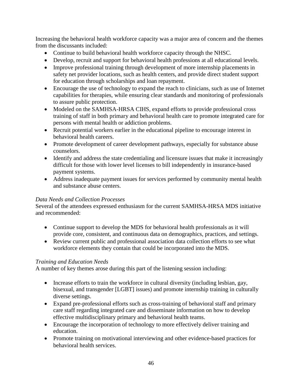Increasing the behavioral health workforce capacity was a major area of concern and the themes from the discussants included:

- Continue to build behavioral health workforce capacity through the NHSC.
- Develop, recruit and support for behavioral health professions at all educational levels.
- Improve professional training through development of more internship placements in safety net provider locations, such as health centers, and provide direct student support for education through scholarships and loan repayment.
- Encourage the use of technology to expand the reach to clinicians, such as use of Internet capabilities for therapies, while ensuring clear standards and monitoring of professionals to assure public protection.
- Modeled on the SAMHSA-HRSA CIHS, expand efforts to provide professional cross training of staff in both primary and behavioral health care to promote integrated care for persons with mental health or addiction problems.
- Recruit potential workers earlier in the educational pipeline to encourage interest in behavioral health careers.
- Promote development of career development pathways, especially for substance abuse counselors.
- Identify and address the state credentialing and licensure issues that make it increasingly difficult for those with lower level licenses to bill independently in insurance-based payment systems.
- Address inadequate payment issues for services performed by community mental health and substance abuse centers.

# *Data Needs and Collection Processes*

Several of the attendees expressed enthusiasm for the current SAMHSA-HRSA MDS initiative and recommended:

- Continue support to develop the MDS for behavioral health professionals as it will provide core, consistent, and continuous data on demographics, practices, and settings.
- Review current public and professional association data collection efforts to see what workforce elements they contain that could be incorporated into the MDS.

# *Training and Education Needs*

A number of key themes arose during this part of the listening session including:

- Increase efforts to train the workforce in cultural diversity (including lesbian, gay, bisexual, and transgender [LGBT] issues) and promote internship training in culturally diverse settings.
- Expand pre-professional efforts such as cross-training of behavioral staff and primary care staff regarding integrated care and disseminate information on how to develop effective multidisciplinary primary and behavioral health teams.
- Encourage the incorporation of technology to more effectively deliver training and education.
- Promote training on motivational interviewing and other evidence-based practices for behavioral health services.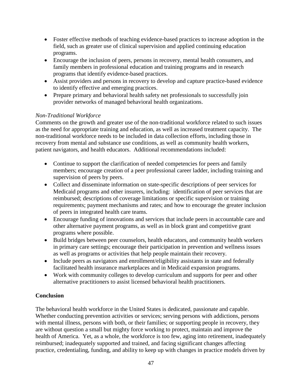- Foster effective methods of teaching evidence-based practices to increase adoption in the field, such as greater use of clinical supervision and applied continuing education programs.
- Encourage the inclusion of peers, persons in recovery, mental health consumers, and family members in professional education and training programs and in research programs that identify evidence-based practices.
- Assist providers and persons in recovery to develop and capture practice-based evidence to identify effective and emerging practices.
- Prepare primary and behavioral health safety net professionals to successfully join provider networks of managed behavioral health organizations.

# *Non-Traditional Workforce*

Comments on the growth and greater use of the non-traditional workforce related to such issues as the need for appropriate training and education, as well as increased treatment capacity. The non-traditional workforce needs to be included in data collection efforts, including those in recovery from mental and substance use conditions, as well as community health workers, patient navigators, and health educators. Additional recommendations included:

- Continue to support the clarification of needed competencies for peers and family members; encourage creation of a peer professional career ladder, including training and supervision of peers by peers.
- Collect and disseminate information on state-specific descriptions of peer services for Medicaid programs and other insurers, including: identification of peer services that are reimbursed; descriptions of coverage limitations or specific supervision or training requirements; payment mechanisms and rates; and how to encourage the greater inclusion of peers in integrated health care teams.
- Encourage funding of innovations and services that include peers in accountable care and other alternative payment programs, as well as in block grant and competitive grant programs where possible.
- Build bridges between peer counselors, health educators, and community health workers in primary care settings; encourage their participation in prevention and wellness issues as well as programs or activities that help people maintain their recovery.
- Include peers as navigators and enrollment/eligibility assistants in state and federally facilitated health insurance marketplaces and in Medicaid expansion programs.
- Work with community colleges to develop curriculum and supports for peer and other alternative practitioners to assist licensed behavioral health practitioners.

# <span id="page-48-0"></span>**Conclusion**

The behavioral health workforce in the United States is dedicated, passionate and capable. Whether conducting prevention activities or services; serving persons with addictions, persons with mental illness, persons with both, or their families; or supporting people in recovery, they are without question a small but mighty force working to protect, maintain and improve the health of America. Yet, as a whole, the workforce is too few, aging into retirement, inadequately reimbursed; inadequately supported and trained, and facing significant changes affecting practice, credentialing, funding, and ability to keep up with changes in practice models driven by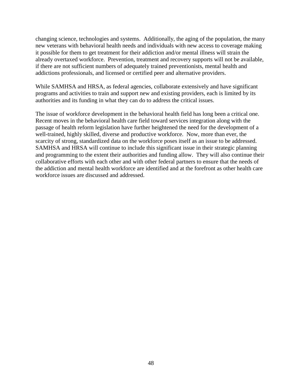changing science, technologies and systems. Additionally, the aging of the population, the many new veterans with behavioral health needs and individuals with new access to coverage making it possible for them to get treatment for their addiction and/or mental illness will strain the already overtaxed workforce. Prevention, treatment and recovery supports will not be available, if there are not sufficient numbers of adequately trained preventionists, mental health and addictions professionals, and licensed or certified peer and alternative providers.

While SAMHSA and HRSA, as federal agencies, collaborate extensively and have significant programs and activities to train and support new and existing providers, each is limited by its authorities and its funding in what they can do to address the critical issues.

The issue of workforce development in the behavioral health field has long been a critical one. Recent moves in the behavioral health care field toward services integration along with the passage of health reform legislation have further heightened the need for the development of a well-trained, highly skilled, diverse and productive workforce. Now, more than ever, the scarcity of strong, standardized data on the workforce poses itself as an issue to be addressed. SAMHSA and HRSA will continue to include this significant issue in their strategic planning and programming to the extent their authorities and funding allow. They will also continue their collaborative efforts with each other and with other federal partners to ensure that the needs of the addiction and mental health workforce are identified and at the forefront as other health care workforce issues are discussed and addressed.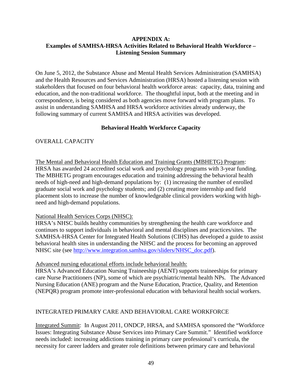#### <span id="page-50-0"></span>**APPENDIX A: Examples of SAMHSA-HRSA Activities Related to Behavioral Health Workforce – Listening Session Summary**

On June 5, 2012, the Substance Abuse and Mental Health Services Administration (SAMHSA) and the Health Resources and Services Administration (HRSA) hosted a listening session with stakeholders that focused on four behavioral health workforce areas: capacity, data, training and education, and the non-traditional workforce. The thoughtful input, both at the meeting and in correspondence, is being considered as both agencies move forward with program plans. To assist in understanding SAMHSA and HRSA workforce activities already underway, the following summary of current SAMHSA and HRSA activities was developed.

# **Behavioral Health Workforce Capacity**

# OVERALL CAPACITY

The Mental and Behavioral Health Education and Training Grants (MBHETG) Program: HRSA has awarded 24 accredited social work and psychology programs with 3-year funding. The MBHETG program encourages education and training addressing the behavioral health needs of high-need and high-demand populations by: (1) increasing the number of enrolled graduate social work and psychology students; and (2) creating more internship and field placement slots to increase the number of knowledgeable clinical providers working with highneed and high-demand populations.

# National Health Services Corps (NHSC):

HRSA's NHSC builds healthy communities by strengthening the health care workforce and continues to support individuals in behavioral and mental disciplines and practices/sites. The SAMHSA-HRSA Center for Integrated Health Solutions (CIHS) has developed a guide to assist behavioral health sites in understanding the NHSC and the process for becoming an approved NHSC site (see [http://www.integration.samhsa.gov/sliders/NHSC\\_doc.pdf\)](http://www.integration.samhsa.gov/sliders/NHSC_doc.pdf).

#### Advanced nursing educational efforts include behavioral health:

HRSA's Advanced Education Nursing Traineeship (AENT) supports traineeships for primary care Nurse Practitioners (NP), some of which are psychiatric/mental health NPs. The Advanced Nursing Education (ANE) program and the Nurse Education, Practice, Quality, and Retention (NEPQR) program promote inter-professional education with behavioral health social workers.

# INTEGRATED PRIMARY CARE AND BEHAVIORAL CARE WORKFORCE

Integrated Summit: In August 2011, ONDCP, HRSA, and SAMHSA sponsored the "Workforce Issues: Integrating Substance Abuse Services into Primary Care Summit." Identified workforce needs included: increasing addictions training in primary care professional's curricula, the necessity for career ladders and greater role definitions between primary care and behavioral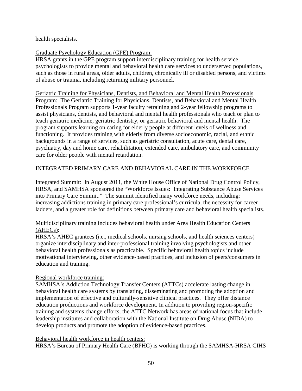health specialists.

#### Graduate Psychology Education (GPE) Program:

HRSA grants in the GPE program support interdisciplinary training for health service psychologists to provide mental and behavioral health care services to underserved populations, such as those in rural areas, older adults, children, chronically ill or disabled persons, and victims of abuse or trauma, including returning military personnel.

Geriatric Training for Physicians, Dentists, and Behavioral and Mental Health Professionals Program: The Geriatric Training for Physicians, Dentists, and Behavioral and Mental Health Professionals Program supports 1-year faculty retraining and 2-year fellowship programs to assist physicians, dentists, and behavioral and mental health professionals who teach or plan to teach geriatric medicine, geriatric dentistry, or geriatric behavioral and mental health. The program supports learning on caring for elderly people at different levels of wellness and functioning. It provides training with elderly from diverse socioeconomic, racial, and ethnic backgrounds in a range of services, such as geriatric consultation, acute care, dental care, psychiatry, day and home care, rehabilitation, extended care, ambulatory care, and community care for older people with mental retardation.

# INTEGRATED PRIMARY CARE AND BEHAVIORAL CARE IN THE WORKFORCE

Integrated Summit: In August 2011, the White House Office of National Drug Control Policy, HRSA, and SAMHSA sponsored the "Workforce Issues: Integrating Substance Abuse Services into Primary Care Summit." The summit identified many workforce needs, including: increasing addictions training in primary care professional's curricula, the necessity for career ladders, and a greater role for definitions between primary care and behavioral health specialists.

#### Multidisciplinary training includes behavioral health under Area Health Education Centers (AHECs):

HRSA's AHEC grantees (i.e., medical schools, nursing schools, and health sciences centers) organize interdisciplinary and inter-professional training involving psychologists and other behavioral health professionals as practicable. Specific behavioral health topics include motivational interviewing, other evidence-based practices, and inclusion of peers/consumers in education and training.

# Regional workforce training:

SAMHSA's Addiction Technology Transfer Centers (ATTCs) accelerate lasting change in behavioral health care systems by translating, disseminating and promoting the adoption and implementation of effective and culturally-sensitive clinical practices. They offer distance education productions and workforce development. In addition to providing region-specific training and systems change efforts, the ATTC Network has areas of national focus that include leadership institutes and collaboration with the National Institute on Drug Abuse (NIDA) to develop products and promote the adoption of evidence-based practices.

#### Behavioral health workforce in health centers:

HRSA's Bureau of Primary Health Care (BPHC) is working through the SAMHSA-HRSA CIHS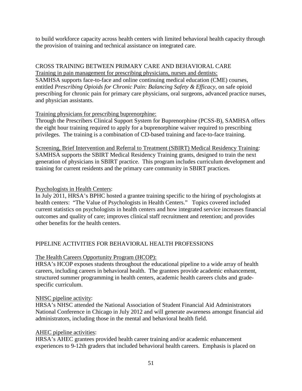to build workforce capacity across health centers with limited behavioral health capacity through the provision of training and technical assistance on integrated care.

#### CROSS TRAINING BETWEEN PRIMARY CARE AND BEHAVIORAL CARE

Training in pain management for prescribing physicians, nurses and dentists: SAMHSA supports face-to-face and online continuing medical education (CME) courses, entitled *Prescribing Opioids for Chronic Pain: Balancing Safety & Efficacy*, on safe opioid prescribing for chronic pain for primary care physicians, oral surgeons, advanced practice nurses, and physician assistants.

# Training physicians for prescribing buprenorphine:

Through the Prescribers Clinical Support System for Buprenorphine (PCSS-B), SAMHSA offers the eight hour training required to apply for a buprenorphine waiver required to prescribing privileges. The training is a combination of CD-based training and face-to-face training.

Screening, Brief Intervention and Referral to Treatment (SBIRT) Medical Residency Training: SAMHSA supports the SBIRT Medical Residency Training grants, designed to train the next generation of physicians in SBIRT practice. This program includes curriculum development and training for current residents and the primary care community in SBIRT practices.

#### Psychologists in Health Centers:

In July 2011, HRSA's BPHC hosted a grantee training specific to the hiring of psychologists at health centers: "The Value of Psychologists in Health Centers." Topics covered included current statistics on psychologists in health centers and how integrated service increases financial outcomes and quality of care; improves clinical staff recruitment and retention; and provides other benefits for the health centers.

# PIPELINE ACTIVITIES FOR BEHAVIORAL HEALTH PROFESSIONS

# The Health Careers Opportunity Program (HCOP):

HRSA's HCOP exposes students throughout the educational pipeline to a wide array of health careers, including careers in behavioral health. The grantees provide academic enhancement, structured summer programming in health centers, academic health careers clubs and gradespecific curriculum.

#### NHSC pipeline activity:

HRSA's NHSC attended the National Association of Student Financial Aid Administrators National Conference in Chicago in July 2012 and will generate awareness amongst financial aid administrators, including those in the mental and behavioral health field.

#### AHEC pipeline activities:

HRSA's AHEC grantees provided health career training and/or academic enhancement experiences to 9-12th graders that included behavioral health careers. Emphasis is placed on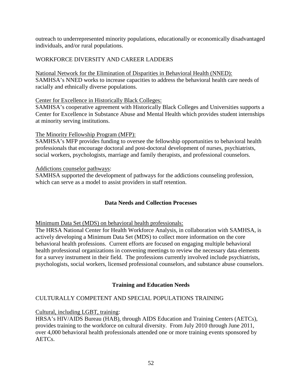outreach to underrepresented minority populations, educationally or economically disadvantaged individuals, and/or rural populations.

# WORKFORCE DIVERSITY AND CAREER LADDERS

National Network for the Elimination of Disparities in Behavioral Health (NNED): SAMHSA's NNED works to increase capacities to address the behavioral health care needs of racially and ethnically diverse populations.

#### Center for Excellence in Historically Black Colleges:

SAMHSA's cooperative agreement with Historically Black Colleges and Universities supports a Center for Excellence in Substance Abuse and Mental Health which provides student internships at minority serving institutions.

# The Minority Fellowship Program (MFP):

SAMHSA's MFP provides funding to oversee the fellowship opportunities to behavioral health professionals that encourage doctoral and post-doctoral development of nurses, psychiatrists, social workers, psychologists, marriage and family therapists, and professional counselors.

#### Addictions counselor pathways:

SAMHSA supported the development of pathways for the addictions counseling profession, which can serve as a model to assist providers in staff retention.

# **Data Needs and Collection Processes**

Minimum Data Set (MDS) on behavioral health professionals:

The HRSA National Center for Health Workforce Analysis, in collaboration with SAMHSA, is actively developing a Minimum Data Set (MDS) to collect more information on the core behavioral health professions. Current efforts are focused on engaging multiple behavioral health professional organizations in convening meetings to review the necessary data elements for a survey instrument in their field. The professions currently involved include psychiatrists, psychologists, social workers, licensed professional counselors, and substance abuse counselors.

# **Training and Education Needs**

# CULTURALLY COMPETENT AND SPECIAL POPULATIONS TRAINING

# Cultural, including LGBT, training:

HRSA's HIV/AIDS Bureau (HAB), through AIDS Education and Training Centers (AETCs), provides training to the workforce on cultural diversity. From July 2010 through June 2011, over 4,000 behavioral health professionals attended one or more training events sponsored by AETCs.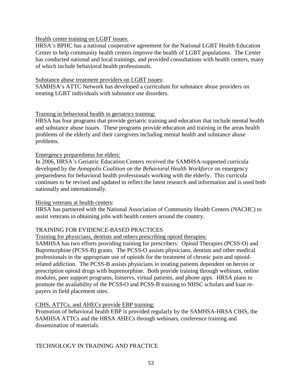#### Health center training on LGBT issues:

HRSA's BPHC has a national cooperative agreement for the National LGBT Health Education Center to help community health centers improve the health of LGBT populations. The Center has conducted national and local trainings, and provided consultations with health centers, many of which include behavioral health professionals.

#### Substance abuse treatment providers on LGBT issues:

SAMHSA's ATTC Network has developed a curriculum for substance abuse providers on treating LGBT individuals with substance use disorders.

# Training in behavioral health in geriatrics training:

HRSA has four programs that provide geriatric training and education that include mental health and substance abuse issues. These programs provide education and training in the areas health problems of the elderly and their caregivers including mental health and substance abuse problems.

#### Emergency preparedness for elders:

In 2006, HRSA's Geriatric Education Centers received the SAMHSA-supported curricula developed by the *Annapolis Coalition on the Behavioral Health Workforce* on emergency preparedness for behavioral health professionals working with the elderly. This curricula continues to be revised and updated to reflect the latest research and information and is used both nationally and internationally.

#### Hiring veterans at health centers:

HRSA has partnered with the National Association of Community Health Centers (NACHC) to assist veterans in obtaining jobs with health centers around the country.

# TRAINING FOR EVIDENCE-BASED PRACTICES

#### Training for physicians, dentists and others prescribing opioid therapies:

SAMHSA has two efforts providing training for prescribers: Opioid Therapies (PCSS-O) and Buprenorphine (PCSS-B) grants. The PCSS-O assists physicians, dentists and other medical professionals in the appropriate use of opioids for the treatment of chronic pain and opioidrelated addiction. The PCSS-B assists physicians in treating patients dependent on heroin or prescription opioid drugs with buprenorphine. Both provide training through webinars, online modules, peer support programs, listservs, virtual patients, and phone apps. HRSA plans to promote the availability of the PCSS-O and PCSS-B training to NHSC scholars and loan repayers in field placement sites.

#### CIHS, ATTCs, and AHECs provide EBP training:

Promotion of behavioral health EBP is provided regularly by the SAMHSA-HRSA CIHS, the SAMHSA ATTCs and the HRSA AHECs through webinars, conference training and dissemination of materials.

TECHNOLOGY IN TRAINING AND PRACTICE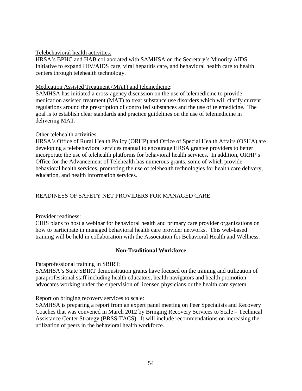#### Telebehavioral health activities:

HRSA's BPHC and HAB collaborated with SAMHSA on the Secretary's Minority AIDS Initiative to expand HIV/AIDS care, viral hepatitis care, and behavioral health care to health centers through telehealth technology.

#### Medication Assisted Treatment (MAT) and telemedicine:

SAMHSA has initiated a cross-agency discussion on the use of telemedicine to provide medication assisted treatment (MAT) to treat substance use disorders which will clarify current regulations around the prescription of controlled substances and the use of telemedicine. The goal is to establish clear standards and practice guidelines on the use of telemedicine in delivering MAT.

#### Other telehealth activities:

HRSA's Office of Rural Health Policy (ORHP) and Office of Special Health Affairs (OSHA) are developing a telebehavioral services manual to encourage HRSA grantee providers to better incorporate the use of telehealth platforms for behavioral health services. In addition, ORHP's Office for the Advancement of Telehealth has numerous grants, some of which provide behavioral health services, promoting the use of telehealth technologies for health care delivery, education, and health information services.

# READINESS OF SAFETY NET PROVIDERS FOR MANAGED CARE

# Provider readiness:

CIHS plans to host a webinar for behavioral health and primary care provider organizations on how to participate in managed behavioral health care provider networks. This web-based training will be held in collaboration with the Association for Behavioral Health and Wellness.

# **Non-Traditional Workforce**

#### Paraprofessional training in SBIRT:

SAMHSA's State SBIRT demonstration grants have focused on the training and utilization of paraprofessional staff including health educators, health navigators and health promotion advocates working under the supervision of licensed physicians or the health care system.

#### Report on bringing recovery services to scale:

SAMHSA is preparing a report from an expert panel meeting on Peer Specialists and Recovery Coaches that was convened in March 2012 by Bringing Recovery Services to Scale – Technical Assistance Center Strategy (BRSS-TACS). It will include recommendations on increasing the utilization of peers in the behavioral health workforce.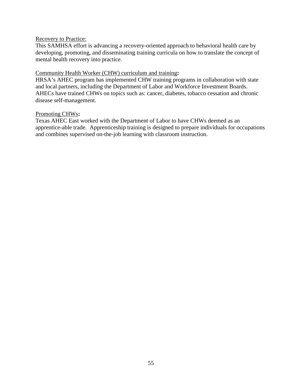#### Recovery to Practice:

This SAMHSA effort is advancing a recovery-oriented approach to behavioral health care by developing, promoting, and disseminating training curricula on how to translate the concept of mental health recovery into practice.

#### Community Health Worker (CHW) curriculum and training**:**

HRSA's AHEC program has implemented CHW training programs in collaboration with state and local partners, including the Department of Labor and Workforce Investment Boards. AHECs have trained CHWs on topics such as: cancer, diabetes, tobacco cessation and chronic disease self-management.

#### Promoting CHWs**:**

Texas AHEC East worked with the Department of Labor to have CHWs deemed as an apprentice-able trade. Apprenticeship training is designed to prepare individuals for occupations and combines supervised on-the-job learning with classroom instruction.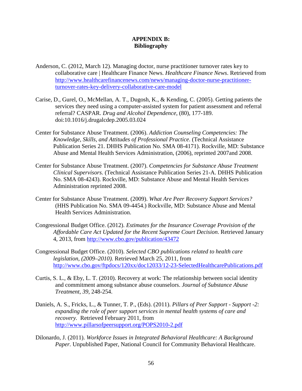#### **APPENDIX B: Bibliography**

- <span id="page-57-0"></span>Anderson, C. (2012, March 12). Managing doctor, nurse practitioner turnover rates key to collaborative care | Healthcare Finance News. *Healthcare Finance News*. Retrieved from [http://www.healthcarefinancenews.com/news/managing-doctor-nurse-practitioner](http://www.healthcarefinancenews.com/news/managing-doctor-nurse-practitioner-turnover-rates-key-delivery-collaborative-care-model)turnover-rates-key-delivery-collaborative-care-model
- Carise, D., Gurel, O., McMellan, A. T., Dugosh, K., & Kending, C. (2005). Getting patients the services they need using a computer-assisted system for patient assessment and referral referral? CASPAR. *Drug and Alcohol Dependence*, (80), 177-189. doi:10.1016/j.drugalcdep.2005.03.024
- Center for Substance Abuse Treatment. (2006). *Addiction Counseling Competencies: The Knowledge, Skills, and Attitudes of Professional Practice*. (Technical Assistance Publication Series 21. DHHS Publication No. SMA 08-4171). Rockville, MD: Substance Abuse and Mental Health Services Administration, (2006), reprinted 2007and 2008.
- Center for Substance Abuse Treatment. (2007). *Competencies for Substance Abuse Treatment Clinical Supervisors*. (Technical Assistance Publication Series 21-A. DHHS Publication No. SMA 08-4243). Rockville, MD: Substance Abuse and Mental Health Services Administration reprinted 2008.
- Center for Substance Abuse Treatment. (2009). *What Are Peer Recovery Support Services?* (HHS Publication No. SMA 09-4454.) Rockville, MD: Substance Abuse and Mental Health Services Administration.
- Congressional Budget Office. (2012). *Estimates for the Insurance Coverage Provision of the Affordable Care Act Updated for the Recent Supreme Court Decision*. Retrieved January 4, 2013, from<http://www.cbo.gov/publication/43472>
- Congressional Budget Office. (2010). *Selected CBO publications related to health care legislation, (2009–2010).* Retrieved March 25, 2011, from <http://www.cbo.gov/ftpdocs/120xx/doc12033/12-23-SelectedHealthcarePublications.pdf>
- Curtis, S. L., & Eby, L. T. (2010). Recovery at work: The relationship between social identity and commitment among substance abuse counselors. *Journal of Substance Abuse Treatment*, *39*, 248-254.
- Daniels, A. S., Fricks, L., & Tunner, T. P., (Eds). (2011). *Pillars of Peer Support Support -2: expanding the role of peer support services in mental health systems of care and recovery.* Retrieved February 2011, from <http://www.pillarsofpeersupport.org/POPS2010-2.pdf>
- Dilonardo, J. (2011). *Workforce Issues in Integrated Behavioral Healthcare: A Background Paper.* Unpublished Paper, National Council for Community Behavioral Healthcare.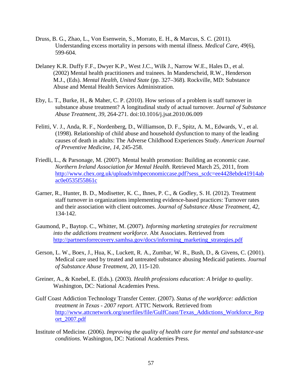- Druss, B. G., Zhao, L., Von Esenwein, S., Morrato, E. H., & Marcus, S. C. (2011). Understanding excess mortality in persons with mental illness. *Medical Care*, *49*(6), 599-604.
- Delaney K.R. Duffy F.F., Dwyer K.P., West J.C., Wilk J., Narrow W.E., Hales D., et al. (2002) Mental health practitioners and trainees. In Manderscheid, R.W., Henderson M.J., (Eds). *Mental Health, United State* (pp. 327–368)*.* Rockville, MD: Substance Abuse and Mental Health Services Administration.
- Eby, L. T., Burke, H., & Maher, C. P. (2010). How serious of a problem is staff turnover in substance abuse treatment? A longitudinal study of actual turnover. *Journal of Substance Abuse Treatment*, *39*, 264-271. doi:10.1016/j.jsat.2010.06.009
- Felitti, V. J., Anda, R. F., Nordenberg, D., Williamson, D. F., Spitz, A. M., Edwards, V., et al. (1998). Relationship of child abuse and household dysfunction to many of the leading causes of death in adults: The Adverse Childhood Experiences Study. *American Journal of Preventive Medicine*, *14*, 245-258.
- Friedli, L., & Parsonage, M. (2007). Mental health promotion: Building an economic case. *Northern Ireland Association for Mental Health*. Retrieved March 25, 2011, from [http://www.chex.org.uk/uploads/mhpeconomiccase.pdf?sess\\_scdc=ee4428ebde41914ab](http://www.chex.org.uk/uploads/mhpeconomiccase.pdf?sess_scdc=ee4428ebde41914abac0e0535f55861c) ac0e0535f55861c
- Garner, R., Hunter, B. D., Modisetter, K. C., Ihnes, P. C., & Godley, S. H. (2012). Treatment staff turnover in organizations implementing evidence-based practices: Turnover rates and their association with client outcomes. *Journal of Substance Abuse Treatment*, *42*, 134-142.
- Gaumond, P., Baytop. C., Whitter, M. (2007). *Informing marketing strategies for recruitment into the addictions treatment workforce*. Abt Associates. Retrieved from [http://partnersforrecovery.samhsa.gov/docs/informing\\_marketing\\_strategies.pdf](http://partnersforrecovery.samhsa.gov/docs/informing_marketing_strategies.pdf)
- Gerson, L. W., Boex, J., Hua, K., Luckett, R. A., Zumbar, W. R., Bush, D., & Givens, C. (2001). Medical care used by treated and untreated substance abusing Medicaid patients. *Journal of Substance Abuse Treatment*, *20*, 115-120.
- Greiner, A., & Knebel, E. (Eds.). (2003). *Health professions education: A bridge to quality*. Washington, DC: National Academies Press.
- Gulf Coast Addiction Technology Transfer Center. (2007). *Status of the workforce: addiction treatment in Texas - 2007 report.* ATTC Network*.* Retrieved from [http://www.attcnetwork.org/userfiles/file/GulfCoast/Texas\\_Addictions\\_Workforce\\_Rep](http://www.attcnetwork.org/userfiles/file/GulfCoast/Texas_Addictions_Workforce_Report_2007.pdf) ort\_2007.pdf
- Institute of Medicine. (2006). *Improving the quality of health care for mental and substance-use conditions*. Washington, DC: National Academies Press.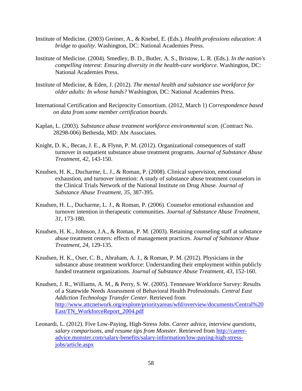- Institute of Medicine. (2003) Greiner, A., & Knebel, E. (Eds.). *Health professions education: A bridge to quality*. Washington, DC: National Academies Press.
- Institute of Medicine. (2004). Smedley, B. D., Butler, A. S., Bristow, L. R. (Eds.). *In the nation's compelling interest: Ensuring diversity in the health-care workforce*. Washington, DC: National Academies Press.
- Institute of Medicine, & Eden, J. (2012). *The mental health and substance use workforce for older adults: In whose hands?* Washington, DC: National Academies Press.
- International Certification and Reciprocity Consortium. (2012, March 1) *Correspondence based on data from some member certification boards.*
- Kaplan, L. (2003). *Substance abuse treatment workforce environmental scan.* (Contract No. 28298-006) Bethesda, MD: Abt Associates.
- Knight, D. K., Becan, J. E., & Flynn, P. M. (2012). Organizational consequences of staff turnover in outpatient substance abuse treatment programs. *Journal of Substance Abuse Treatment*, *42*, 143-150.
- Knudsen, H. K., Ducharme, L. J., & Roman, P. (2008). Clinical supervision, emotional exhaustion, and turnover intention: A study of substance abuse treatment counselors in the Clinical Trials Network of the National Institute on Drug Abuse. *Journal of Substance Abuse Treatment*, *35*, 387-395.
- Knudsen, H. L., Ducharme, L. J., & Roman, P. (2006). Counselor emotional exhaustion and turnover intention in therapeutic communities. *Journal of Substance Abuse Treatment*, *31*, 173-180.
- Knudsen, H. K., Johnson, J.A., & Roman, P. M. (2003). Retaining counseling staff at substance abuse treatment centers: effects of management practices. *Journal of Substance Abuse Treatment*, *24*, 129-135.
- Knudsen, H. K., Oser, C. B., Abraham, A. J., & Roman, P. M. (2012). Physicians in the substance abuse treatment workforce: Understanding their employment within publicly funded treatment organizations. *Journal of Substance Abuse Treatment*, *43*, 152-160.
- Knudsen, J. R., Williams, A. M., & Perry, S. W. (2005). Tennessee Workforce Survey: Results of a Statewide Needs Assessment of Behavioral Health Professionals. *Central East Addiction Technology Transfer Center*. Retrieved from [http://www.attcnetwork.org/explore/priorityareas/wfd/overview/documents/Central%20](http://www.attcnetwork.org/explore/priorityareas/wfd/overview/documents/Central%20East/TN_WorkforceReport_2004.pdf) East/TN\_WorkforceReport\_2004.pdf
- Leonardi, L. (2012). Five Low-Paying, High-Stress Jobs. *Career advice, interview questions, salary comparisons, and resume tips from Monster*. Retrieved from http://career[advice.monster.com/salary-benefits/salary-information/low-paying-high-stress](http://career-advice.monster.com/salary-benefits/salary-information/low-paying-high-stress-jobs/article.aspx)jobs/article.aspx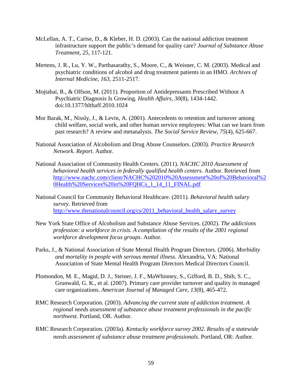- McLellan, A. T., Carise, D., & Kleber, H. D. (2003). Can the national addiction treatment infrastructure support the public's demand for quality care? *Journal of Substance Abuse Treatment*, *25*, 117-121.
- Mertens, J. R., Lu, Y. W., Parthasarathy, S., Moore, C., & Weisner, C. M. (2003). Medical and psychiatric conditions of alcohol and drug treatment patients in an HMO. *Archives of Internal Medicine*, *163*, 2511-2517.
- Mojtabai, R., & Olfson, M. (2011). Proportion of Antidepressants Prescribed Without A Psychiatric Diagnosis Is Growing. *Health Affairs*, *30*(8), 1434-1442. doi:10.1377/hlthaff.2010.1024
- Mor Barak, M., Nissly, J., & Levin, A. (2001). Antecedents to retention and turnover among child welfare, social work, and other human service employees: What can we learn from past research? A review and metanalysis. *The Social Service Review*, *75*(4), 625-667.
- National Association of Alcoholism and Drug Abuse Counselors. (2003). *Practice Research Network. Report*. Author.
- National Association of Community Health Centers. (2011). *NACHC 2010 Assessment of behavioral health services in federally qualified health centers*. Author. Retrieved from [http://www.nachc.com/client/NACHC%202010%20Assessment%20of%20Behavioral%2](http://www.nachc.com/client/NACHC%202010%20Assessment%20of%20Behavioral%20Health%20Services%20in%20FQHCs_1_14_11_FINAL.pdf) 0Health%20Services%20in%20FQHCs\_1\_14\_11\_FINAL.pdf
- National Council for Community Behavioral Healthcare. (2011). *Behavioral health salary survey*. Retrieved from http://www.thenationalcouncil.org/cs/2011\_behavioral\_health\_salary\_survey\_
- New York State Office of Alcoholism and Substance Abuse Services. (2002). *The addictions profession: a workforce in crisis. A compilation of the results of the 2001 regional workforce development focus groups*. Author.
- Parks, J., & National Association of State Mental Health Program Directors. (2006). *Morbidity and mortality in people with serious mental illness*. Alexandria, VA: National Association of State Mental Health Program Directors Medical Directors Council.
- Plomondon, M. E., Magid, D. J., Steiner, J. F., MaWhinney, S., Gifford, B. D., Shih, S. C., Grunwald, G. K., et al. (2007). Primary care provider turnover and quality in managed care organizations. *American Journal of Managed Care*, *13*(8), 465-472.
- RMC Research Corporation. (2003). *Advancing the current state of addiction treatment. A regional needs assessment of substance abuse treatment professionals in the pacific northwest.* Portland, OR. Author.
- RMC Research Corporation. (2003a). *Kentucky workforce survey 2002. Results of a statewide needs assessment of substance abuse treatment professionals*. Portland, OR: Author.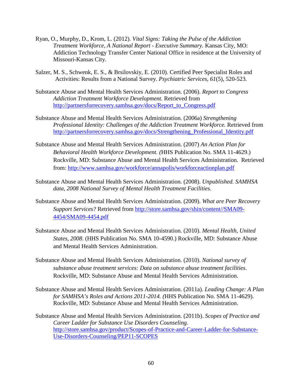- Ryan, O., Murphy, D., Krom, L. (2012). *Vital Signs: Taking the Pulse of the Addiction Treatment Workforce, A National Report - Executive Summary.* Kansas City, MO: Addiction Technology Transfer Center National Office in residence at the University of Missouri-Kansas City.
- Salzer, M. S., Schwenk, E. S., & Brsilovskiy, E. (2010). Certified Peer Specialist Roles and Activities: Results from a National Survey. *Psychiatric Services*, *61*(5), 520-523.
- Substance Abuse and Mental Health Services Administration. (2006). *Report to Congress Addiction Treatment Workforce Development.* Retrieved from [http://partnersforrecovery.samhsa.gov/docs/Report\\_to\\_Congress.pdf](http://partnersforrecovery.samhsa.gov/docs/Report_to_Congress.pdf)
- Substance Abuse and Mental Health Services Administration. (2006a) *Strengthening Professional Identity: Challenges of the Addiction Treatment Workforce.* Retrieved from http://partnersforrecovery.samhsa.gov/docs/Strengthening\_Professional\_Identity.pdf
- Substance Abuse and Mental Health Services Administration. (2007) *An Action Plan for Behavioral Health Workforce Development. (*HHS Publication No. SMA 11-4629.) Rockville, MD: Substance Abuse and Mental Health Services Administration. Retrieved from:<http://www.samhsa.gov/workforce/annapolis/workforceactionplan.pdf>
- Substance Abuse and Mental Health Services Administration. (2008). *Unpublished. SAMHSA data, 2008 National Survey of Mental Health Treatment Facilities.*
- Substance Abuse and Mental Health Services Administration. (2009). *What are Peer Recovery Support Services?* [Retrieved from http://store.samhsa.gov/shin/content//SMA09-](http://store.samhsa.gov/shin/content/SMA09-4454/SMA09-4454.pdf) 4454/SMA09-4454.pdf
- Substance Abuse and Mental Health Services Administration. (2010). *Mental Health, United States, 2008*. (HHS Publication No. SMA 10-4590.) Rockville, MD: Substance Abuse and Mental Health Services Administration.
- Substance Abuse and Mental Health Services Administration. (2010). *National survey of substance abuse treatment services: Data on substance abuse treatment facilities*. Rockville, MD: Substance Abuse and Mental Health Services Administration.
- Substance Abuse and Mental Health Services Administration. (2011a). *Leading Change: A Plan for SAMHSA's Roles and Actions 2011-2014. (*HHS Publication No. SMA 11-4629). Rockville, MD: Substance Abuse and Mental Health Services Administration.
- Substance Abuse and Mental Health Services Administration. (2011b). *Scopes of Practice and Career Ladder for Substance Use Disorders Counseling.*  [http://store.samhsa.gov/product/Scopes-of-Practice-and-Career-Ladder-for-Substance-](http://store.samhsa.gov/product/Scopes-of-Practice-and-Career-Ladder-for-Substance-Use-Disorders-Counseling/PEP11-SCOPES)Use-Disorders-Counseling/PEP11-SCOPES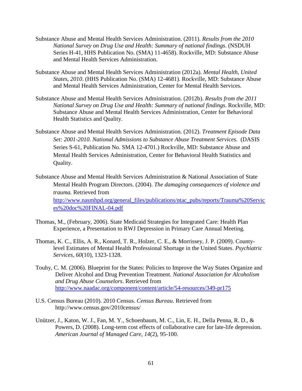- Substance Abuse and Mental Health Services Administration. (2011). *Results from the 2010 National Survey on Drug Use and Health: Summary of national findings*. (NSDUH Series H-41, HHS Publication No. (SMA) 11-4658). Rockville, MD: Substance Abuse and Mental Health Services Administration.
- Substance Abuse and Mental Health Services Administration (2012a). *Mental Health, United States, 2010*. (HHS Publication No. (SMA) 12-4681). Rockville, MD: Substance Abuse and Mental Health Services Administration, Center for Mental Health Services.
- Substance Abuse and Mental Health Services Administration. (2012b). *Results from the 2011 National Survey on Drug Use and Health: Summary of national findings*. Rockville, MD: Substance Abuse and Mental Health Services Administration, Center for Behavioral Health Statistics and Quality.
- Substance Abuse and Mental Health Services Administration. (2012). *Treatment Episode Data Set: 2001-2010. National Admissions to Substance Abuse Treatment Services.* (DASIS Series S-61, Publication No. SMA 12-4701.) Rockville, MD: Substance Abuse and Mental Health Services Administration, Center for Behavioral Health Statistics and Quality.
- Substance Abuse and Mental Health Services Administration & National Association of State Mental Health Program Directors. (2004). *The damaging consequences of violence and trauma.* Retrieved from [http://www.nasmhpd.org/general\\_files/publications/ntac\\_pubs/reports/Trauma%20Servic](http://www.nasmhpd.org/docs/Summary-Congressional%20Briefing_March%2022_Website.pdf) es%20doc%20FINAL-04.pdf
- Thomas, M., (February, 2006). State Medicaid Strategies for Integrated Care: Health Plan Experience, a Presentation to RWJ Depression in Primary Care Annual Meeting.
- Thomas, K. C., Ellis, A. R., Konard, T. R., Holzer, C. E., & Morrissey, J. P. (2009). Countylevel Estimates of Mental Health Professional Shortage in the United States. *Psychiatric Services*, *60*(10), 1323-1328.
- Touhy, C. M. (2006). Blueprint for the States: Policies to Improve the Way States Organize and Deliver Alcohol and Drug Prevention Treatment. *National Association for Alcoholism and Drug Abuse Counselors*. Retrieved from <http://www.naadac.org/component/content/article/54-resources/349-pr175>
- U.S. Census Bureau (2010). 2010 Census. *Census Bureau*. Retrieved from http://www.census.gov/2010census/
- Unützer, J., Katon, W. J., Fan, M. Y., Schoenbaum, M. C., Lin, E. H., Della Penna, R. D., & Powers, D. (2008). Long-term cost effects of collaborative care for late-life depression. *American Journal of Managed Care*, *14*(2), 95-100.